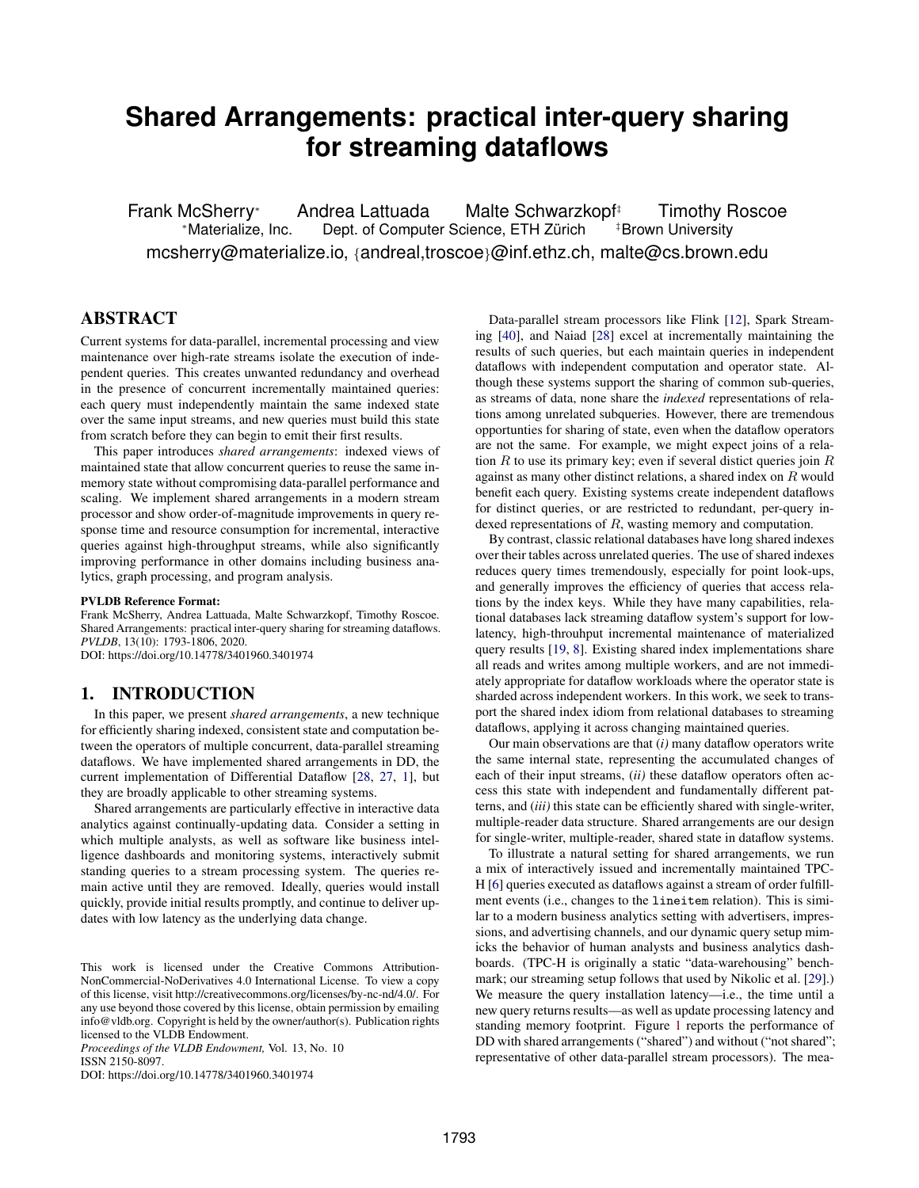# **Shared Arrangements: practical inter-query sharing for streaming dataflows**

Frank McSherry<sup>∗</sup> Andrea Lattuada Malte Schwarzkopf‡ Timothy Roscoe <sup>∗</sup>Materialize, Inc. Dept. of Computer Science, ETH Zurich ¨ ‡Brown University mcsherry@materialize.io, {andreal,troscoe}@inf.ethz.ch, malte@cs.brown.edu

# ABSTRACT

Current systems for data-parallel, incremental processing and view maintenance over high-rate streams isolate the execution of independent queries. This creates unwanted redundancy and overhead in the presence of concurrent incrementally maintained queries: each query must independently maintain the same indexed state over the same input streams, and new queries must build this state from scratch before they can begin to emit their first results.

This paper introduces *shared arrangements*: indexed views of maintained state that allow concurrent queries to reuse the same inmemory state without compromising data-parallel performance and scaling. We implement shared arrangements in a modern stream processor and show order-of-magnitude improvements in query response time and resource consumption for incremental, interactive queries against high-throughput streams, while also significantly improving performance in other domains including business analytics, graph processing, and program analysis.

#### PVLDB Reference Format:

Frank McSherry, Andrea Lattuada, Malte Schwarzkopf, Timothy Roscoe. Shared Arrangements: practical inter-query sharing for streaming dataflows. *PVLDB*, 13(10): 1793-1806, 2020. DOI: https://doi.org/10.14778/3401960.3401974

# <span id="page-0-0"></span>1. INTRODUCTION

In this paper, we present *shared arrangements*, a new technique for efficiently sharing indexed, consistent state and computation between the operators of multiple concurrent, data-parallel streaming dataflows. We have implemented shared arrangements in DD, the current implementation of Differential Dataflow [\[28,](#page-12-0) [27,](#page-12-1) [1\]](#page-12-2), but they are broadly applicable to other streaming systems.

Shared arrangements are particularly effective in interactive data analytics against continually-updating data. Consider a setting in which multiple analysts, as well as software like business intelligence dashboards and monitoring systems, interactively submit standing queries to a stream processing system. The queries remain active until they are removed. Ideally, queries would install quickly, provide initial results promptly, and continue to deliver updates with low latency as the underlying data change.

*Proceedings of the VLDB Endowment,* Vol. 13, No. 10 ISSN 2150-8097.

DOI: https://doi.org/10.14778/3401960.3401974

Data-parallel stream processors like Flink [\[12\]](#page-12-3), Spark Streaming [\[40\]](#page-13-0), and Naiad [\[28\]](#page-12-0) excel at incrementally maintaining the results of such queries, but each maintain queries in independent dataflows with independent computation and operator state. Although these systems support the sharing of common sub-queries, as streams of data, none share the *indexed* representations of relations among unrelated subqueries. However, there are tremendous opportunties for sharing of state, even when the dataflow operators are not the same. For example, we might expect joins of a relation  $R$  to use its primary key; even if several distict queries join  $R$ against as many other distinct relations, a shared index on R would benefit each query. Existing systems create independent dataflows for distinct queries, or are restricted to redundant, per-query indexed representations of R, wasting memory and computation.

By contrast, classic relational databases have long shared indexes over their tables across unrelated queries. The use of shared indexes reduces query times tremendously, especially for point look-ups, and generally improves the efficiency of queries that access relations by the index keys. While they have many capabilities, relational databases lack streaming dataflow system's support for lowlatency, high-throuhput incremental maintenance of materialized query results [\[19,](#page-12-4) [8\]](#page-12-5). Existing shared index implementations share all reads and writes among multiple workers, and are not immediately appropriate for dataflow workloads where the operator state is sharded across independent workers. In this work, we seek to transport the shared index idiom from relational databases to streaming dataflows, applying it across changing maintained queries.

Our main observations are that (*i)* many dataflow operators write the same internal state, representing the accumulated changes of each of their input streams, (*ii)* these dataflow operators often access this state with independent and fundamentally different patterns, and (*iii)* this state can be efficiently shared with single-writer, multiple-reader data structure. Shared arrangements are our design for single-writer, multiple-reader, shared state in dataflow systems.

To illustrate a natural setting for shared arrangements, we run a mix of interactively issued and incrementally maintained TPC-H [\[6\]](#page-12-6) queries executed as dataflows against a stream of order fulfillment events (i.e., changes to the lineitem relation). This is similar to a modern business analytics setting with advertisers, impressions, and advertising channels, and our dynamic query setup mimicks the behavior of human analysts and business analytics dashboards. (TPC-H is originally a static "data-warehousing" benchmark; our streaming setup follows that used by Nikolic et al. [\[29\]](#page-12-7).) We measure the query installation latency—i.e., the time until a new query returns results—as well as update processing latency and standing memory footprint. Figure [1](#page-1-0) reports the performance of DD with shared arrangements ("shared") and without ("not shared"; representative of other data-parallel stream processors). The mea-

This work is licensed under the Creative Commons Attribution-NonCommercial-NoDerivatives 4.0 International License. To view a copy of this license, visit http://creativecommons.org/licenses/by-nc-nd/4.0/. For any use beyond those covered by this license, obtain permission by emailing info@vldb.org. Copyright is held by the owner/author(s). Publication rights licensed to the VLDB Endowment.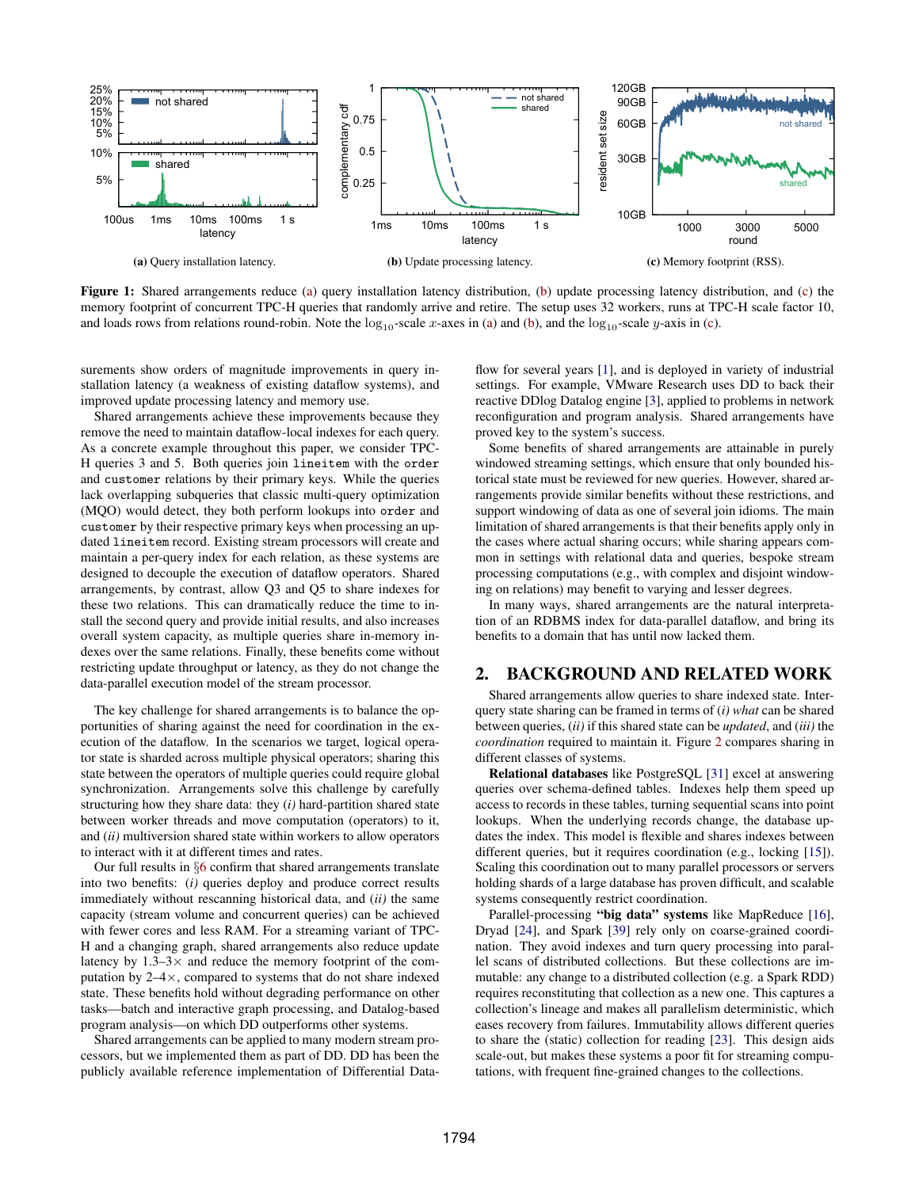<span id="page-1-0"></span>

Figure 1: Shared arrangements reduce [\(a\)](#page-1-0) query installation latency distribution, [\(b\)](#page-1-0) update processing latency distribution, and [\(c\)](#page-1-0) the memory footprint of concurrent TPC-H queries that randomly arrive and retire. The setup uses 32 workers, runs at TPC-H scale factor 10, and loads rows from relations round-robin. Note the  $\log_{10}$ -scale x-axes in [\(a\)](#page-1-0) and [\(b\)](#page-1-0), and the  $\log_{10}$ -scale y-axis in [\(c\)](#page-1-0).

surements show orders of magnitude improvements in query installation latency (a weakness of existing dataflow systems), and improved update processing latency and memory use.

Shared arrangements achieve these improvements because they remove the need to maintain dataflow-local indexes for each query. As a concrete example throughout this paper, we consider TPC-H queries 3 and 5. Both queries join lineitem with the order and customer relations by their primary keys. While the queries lack overlapping subqueries that classic multi-query optimization (MQO) would detect, they both perform lookups into order and customer by their respective primary keys when processing an updated lineitem record. Existing stream processors will create and maintain a per-query index for each relation, as these systems are designed to decouple the execution of dataflow operators. Shared arrangements, by contrast, allow Q3 and Q5 to share indexes for these two relations. This can dramatically reduce the time to install the second query and provide initial results, and also increases overall system capacity, as multiple queries share in-memory indexes over the same relations. Finally, these benefits come without restricting update throughput or latency, as they do not change the data-parallel execution model of the stream processor.

The key challenge for shared arrangements is to balance the opportunities of sharing against the need for coordination in the execution of the dataflow. In the scenarios we target, logical operator state is sharded across multiple physical operators; sharing this state between the operators of multiple queries could require global synchronization. Arrangements solve this challenge by carefully structuring how they share data: they (*i)* hard-partition shared state between worker threads and move computation (operators) to it, and (*ii)* multiversion shared state within workers to allow operators to interact with it at different times and rates.

Our full results in §[6](#page-6-0) confirm that shared arrangements translate into two benefits: (*i)* queries deploy and produce correct results immediately without rescanning historical data, and (*ii)* the same capacity (stream volume and concurrent queries) can be achieved with fewer cores and less RAM. For a streaming variant of TPC-H and a changing graph, shared arrangements also reduce update latency by  $1.3-3\times$  and reduce the memory footprint of the computation by  $2-4\times$ , compared to systems that do not share indexed state. These benefits hold without degrading performance on other tasks—batch and interactive graph processing, and Datalog-based program analysis—on which DD outperforms other systems.

Shared arrangements can be applied to many modern stream processors, but we implemented them as part of DD. DD has been the publicly available reference implementation of Differential Dataflow for several years [\[1\]](#page-12-2), and is deployed in variety of industrial settings. For example, VMware Research uses DD to back their reactive DDlog Datalog engine [\[3\]](#page-12-8), applied to problems in network reconfiguration and program analysis. Shared arrangements have proved key to the system's success.

Some benefits of shared arrangements are attainable in purely windowed streaming settings, which ensure that only bounded historical state must be reviewed for new queries. However, shared arrangements provide similar benefits without these restrictions, and support windowing of data as one of several join idioms. The main limitation of shared arrangements is that their benefits apply only in the cases where actual sharing occurs; while sharing appears common in settings with relational data and queries, bespoke stream processing computations (e.g., with complex and disjoint windowing on relations) may benefit to varying and lesser degrees.

In many ways, shared arrangements are the natural interpretation of an RDBMS index for data-parallel dataflow, and bring its benefits to a domain that has until now lacked them.

## 2. BACKGROUND AND RELATED WORK

Shared arrangements allow queries to share indexed state. Interquery state sharing can be framed in terms of (*i) what* can be shared between queries, (*ii)* if this shared state can be *updated*, and (*iii)* the *coordination* required to maintain it. Figure [2](#page-2-0) compares sharing in different classes of systems.

Relational databases like PostgreSQL [\[31\]](#page-12-9) excel at answering queries over schema-defined tables. Indexes help them speed up access to records in these tables, turning sequential scans into point lookups. When the underlying records change, the database updates the index. This model is flexible and shares indexes between different queries, but it requires coordination (e.g., locking [\[15\]](#page-12-10)). Scaling this coordination out to many parallel processors or servers holding shards of a large database has proven difficult, and scalable systems consequently restrict coordination.

Parallel-processing "big data" systems like MapReduce [\[16\]](#page-12-11), Dryad [\[24\]](#page-12-12), and Spark [\[39\]](#page-13-1) rely only on coarse-grained coordination. They avoid indexes and turn query processing into parallel scans of distributed collections. But these collections are immutable: any change to a distributed collection (e.g. a Spark RDD) requires reconstituting that collection as a new one. This captures a collection's lineage and makes all parallelism deterministic, which eases recovery from failures. Immutability allows different queries to share the (static) collection for reading [\[23\]](#page-12-13). This design aids scale-out, but makes these systems a poor fit for streaming computations, with frequent fine-grained changes to the collections.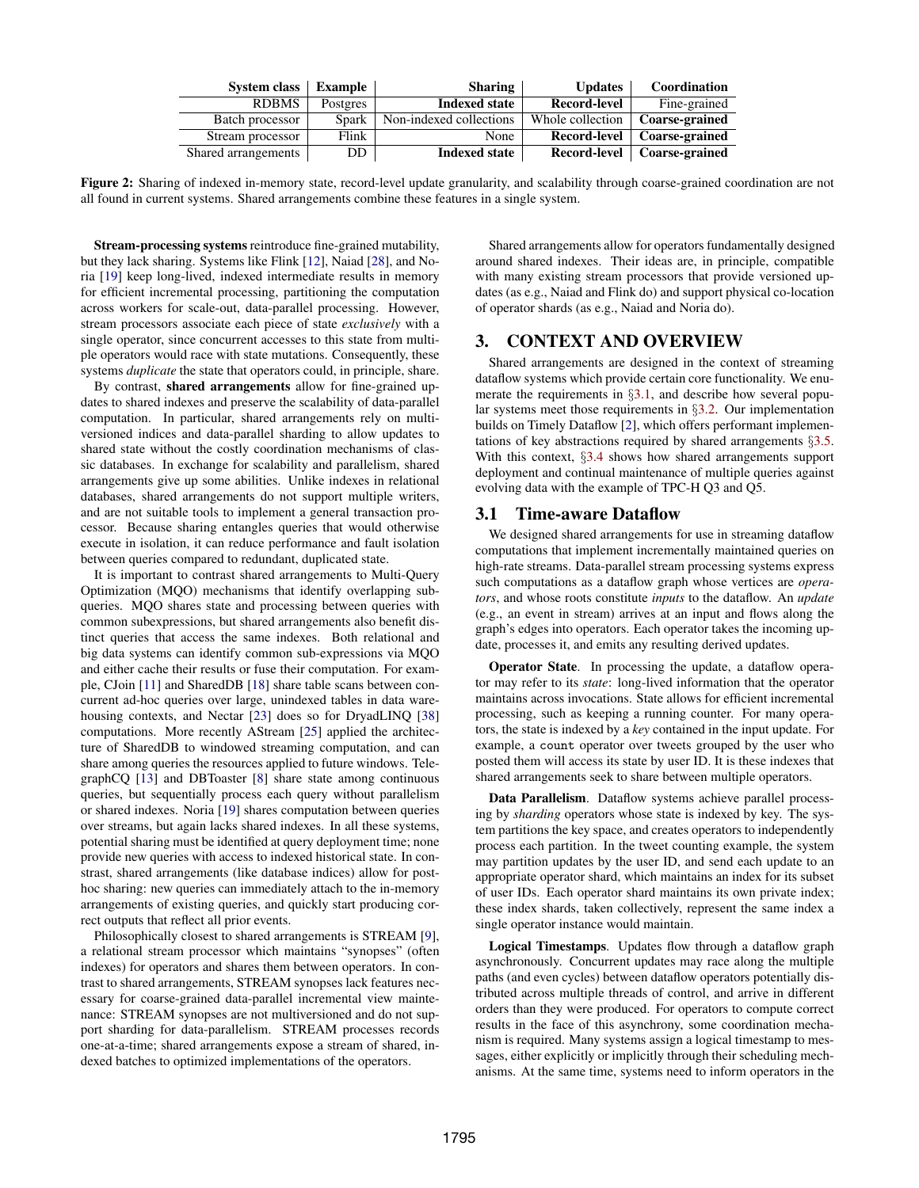<span id="page-2-0"></span>

| <b>System class</b> | Example  | <b>Sharing</b>          | <b>Updates</b>      | Coordination          |
|---------------------|----------|-------------------------|---------------------|-----------------------|
| <b>RDBMS</b>        | Postgres | <b>Indexed state</b>    | Record-level        | Fine-grained          |
| Batch processor     | Spark    | Non-indexed collections | Whole collection    | <b>Coarse-grained</b> |
| Stream processor    | Flink    | None                    | <b>Record-level</b> | Coarse-grained        |
| Shared arrangements | DD       | <b>Indexed state</b>    | <b>Record-level</b> | Coarse-grained        |

Figure 2: Sharing of indexed in-memory state, record-level update granularity, and scalability through coarse-grained coordination are not all found in current systems. Shared arrangements combine these features in a single system.

Stream-processing systems reintroduce fine-grained mutability, but they lack sharing. Systems like Flink [\[12\]](#page-12-3), Naiad [\[28\]](#page-12-0), and Noria [\[19\]](#page-12-4) keep long-lived, indexed intermediate results in memory for efficient incremental processing, partitioning the computation across workers for scale-out, data-parallel processing. However, stream processors associate each piece of state *exclusively* with a single operator, since concurrent accesses to this state from multiple operators would race with state mutations. Consequently, these systems *duplicate* the state that operators could, in principle, share.

By contrast, shared arrangements allow for fine-grained updates to shared indexes and preserve the scalability of data-parallel computation. In particular, shared arrangements rely on multiversioned indices and data-parallel sharding to allow updates to shared state without the costly coordination mechanisms of classic databases. In exchange for scalability and parallelism, shared arrangements give up some abilities. Unlike indexes in relational databases, shared arrangements do not support multiple writers, and are not suitable tools to implement a general transaction processor. Because sharing entangles queries that would otherwise execute in isolation, it can reduce performance and fault isolation between queries compared to redundant, duplicated state.

It is important to contrast shared arrangements to Multi-Query Optimization (MQO) mechanisms that identify overlapping subqueries. MQO shares state and processing between queries with common subexpressions, but shared arrangements also benefit distinct queries that access the same indexes. Both relational and big data systems can identify common sub-expressions via MQO and either cache their results or fuse their computation. For example, CJoin [\[11\]](#page-12-14) and SharedDB [\[18\]](#page-12-15) share table scans between concurrent ad-hoc queries over large, unindexed tables in data warehousing contexts, and Nectar [\[23\]](#page-12-13) does so for DryadLINQ [\[38\]](#page-13-2) computations. More recently AStream [\[25\]](#page-12-16) applied the architecture of SharedDB to windowed streaming computation, and can share among queries the resources applied to future windows. TelegraphCQ [\[13\]](#page-12-17) and DBToaster [\[8\]](#page-12-5) share state among continuous queries, but sequentially process each query without parallelism or shared indexes. Noria [\[19\]](#page-12-4) shares computation between queries over streams, but again lacks shared indexes. In all these systems, potential sharing must be identified at query deployment time; none provide new queries with access to indexed historical state. In constrast, shared arrangements (like database indices) allow for posthoc sharing: new queries can immediately attach to the in-memory arrangements of existing queries, and quickly start producing correct outputs that reflect all prior events.

Philosophically closest to shared arrangements is STREAM [\[9\]](#page-12-18), a relational stream processor which maintains "synopses" (often indexes) for operators and shares them between operators. In contrast to shared arrangements, STREAM synopses lack features necessary for coarse-grained data-parallel incremental view maintenance: STREAM synopses are not multiversioned and do not support sharding for data-parallelism. STREAM processes records one-at-a-time; shared arrangements expose a stream of shared, indexed batches to optimized implementations of the operators.

Shared arrangements allow for operators fundamentally designed around shared indexes. Their ideas are, in principle, compatible with many existing stream processors that provide versioned updates (as e.g., Naiad and Flink do) and support physical co-location of operator shards (as e.g., Naiad and Noria do).

## 3. CONTEXT AND OVERVIEW

Shared arrangements are designed in the context of streaming dataflow systems which provide certain core functionality. We enumerate the requirements in §[3.1,](#page-2-1) and describe how several popular systems meet those requirements in §[3.2.](#page-3-0) Our implementation builds on Timely Dataflow [\[2\]](#page-12-19), which offers performant implementations of key abstractions required by shared arrangements §[3.5.](#page-4-0) With this context, §[3.4](#page-3-1) shows how shared arrangements support deployment and continual maintenance of multiple queries against evolving data with the example of TPC-H Q3 and Q5.

## <span id="page-2-1"></span>3.1 Time-aware Dataflow

We designed shared arrangements for use in streaming dataflow computations that implement incrementally maintained queries on high-rate streams. Data-parallel stream processing systems express such computations as a dataflow graph whose vertices are *operators*, and whose roots constitute *inputs* to the dataflow. An *update* (e.g., an event in stream) arrives at an input and flows along the graph's edges into operators. Each operator takes the incoming update, processes it, and emits any resulting derived updates.

Operator State. In processing the update, a dataflow operator may refer to its *state*: long-lived information that the operator maintains across invocations. State allows for efficient incremental processing, such as keeping a running counter. For many operators, the state is indexed by a *key* contained in the input update. For example, a count operator over tweets grouped by the user who posted them will access its state by user ID. It is these indexes that shared arrangements seek to share between multiple operators.

Data Parallelism. Dataflow systems achieve parallel processing by *sharding* operators whose state is indexed by key. The system partitions the key space, and creates operators to independently process each partition. In the tweet counting example, the system may partition updates by the user ID, and send each update to an appropriate operator shard, which maintains an index for its subset of user IDs. Each operator shard maintains its own private index; these index shards, taken collectively, represent the same index a single operator instance would maintain.

Logical Timestamps. Updates flow through a dataflow graph asynchronously. Concurrent updates may race along the multiple paths (and even cycles) between dataflow operators potentially distributed across multiple threads of control, and arrive in different orders than they were produced. For operators to compute correct results in the face of this asynchrony, some coordination mechanism is required. Many systems assign a logical timestamp to messages, either explicitly or implicitly through their scheduling mechanisms. At the same time, systems need to inform operators in the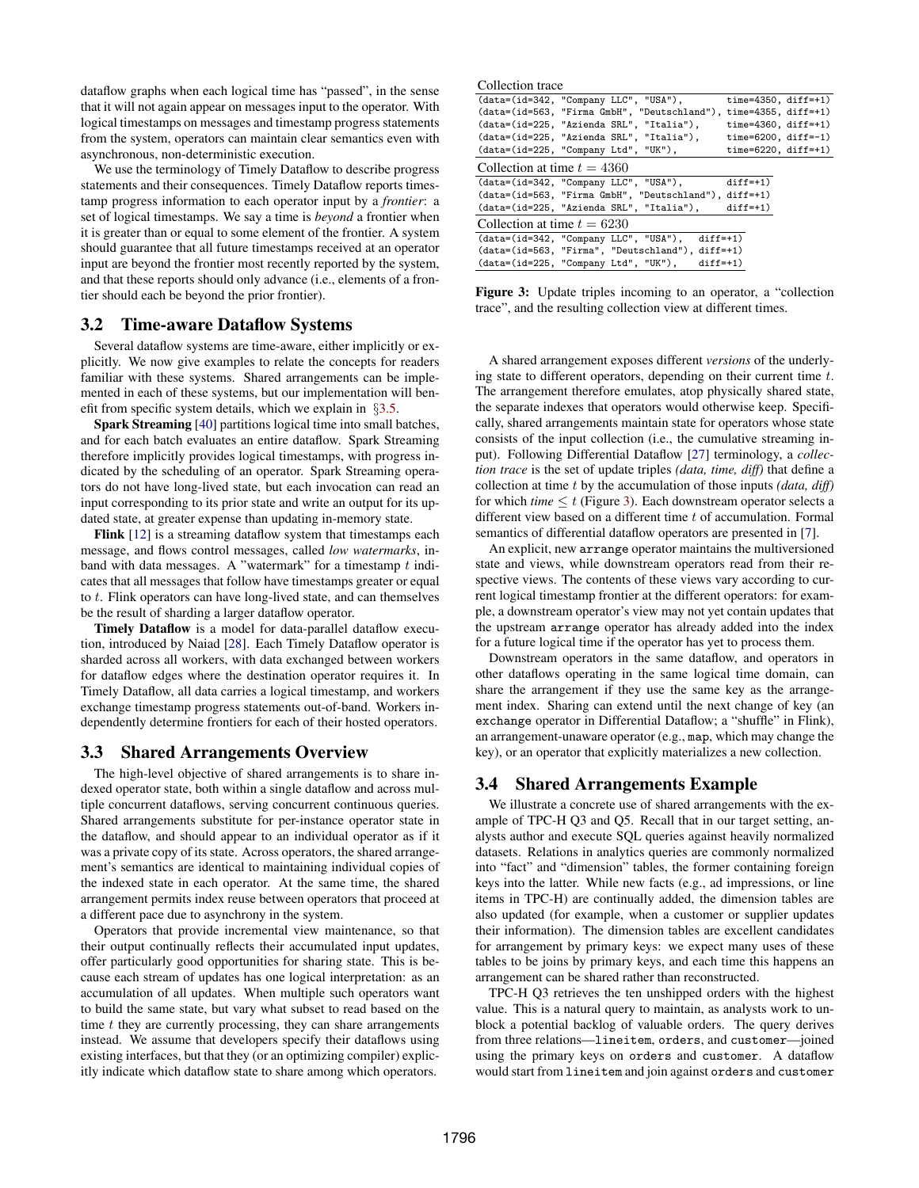dataflow graphs when each logical time has "passed", in the sense that it will not again appear on messages input to the operator. With logical timestamps on messages and timestamp progress statements from the system, operators can maintain clear semantics even with asynchronous, non-deterministic execution.

We use the terminology of Timely Dataflow to describe progress statements and their consequences. Timely Dataflow reports timestamp progress information to each operator input by a *frontier*: a set of logical timestamps. We say a time is *beyond* a frontier when it is greater than or equal to some element of the frontier. A system should guarantee that all future timestamps received at an operator input are beyond the frontier most recently reported by the system, and that these reports should only advance (i.e., elements of a frontier should each be beyond the prior frontier).

## <span id="page-3-0"></span>3.2 Time-aware Dataflow Systems

Several dataflow systems are time-aware, either implicitly or explicitly. We now give examples to relate the concepts for readers familiar with these systems. Shared arrangements can be implemented in each of these systems, but our implementation will benefit from specific system details, which we explain in §[3.5.](#page-4-0)

Spark Streaming [\[40\]](#page-13-0) partitions logical time into small batches, and for each batch evaluates an entire dataflow. Spark Streaming therefore implicitly provides logical timestamps, with progress indicated by the scheduling of an operator. Spark Streaming operators do not have long-lived state, but each invocation can read an input corresponding to its prior state and write an output for its updated state, at greater expense than updating in-memory state.

Flink [\[12\]](#page-12-3) is a streaming dataflow system that timestamps each message, and flows control messages, called *low watermarks*, inband with data messages. A "watermark" for a timestamp  $t$  indicates that all messages that follow have timestamps greater or equal to t. Flink operators can have long-lived state, and can themselves be the result of sharding a larger dataflow operator.

Timely Dataflow is a model for data-parallel dataflow execution, introduced by Naiad [\[28\]](#page-12-0). Each Timely Dataflow operator is sharded across all workers, with data exchanged between workers for dataflow edges where the destination operator requires it. In Timely Dataflow, all data carries a logical timestamp, and workers exchange timestamp progress statements out-of-band. Workers independently determine frontiers for each of their hosted operators.

#### 3.3 Shared Arrangements Overview

The high-level objective of shared arrangements is to share indexed operator state, both within a single dataflow and across multiple concurrent dataflows, serving concurrent continuous queries. Shared arrangements substitute for per-instance operator state in the dataflow, and should appear to an individual operator as if it was a private copy of its state. Across operators, the shared arrangement's semantics are identical to maintaining individual copies of the indexed state in each operator. At the same time, the shared arrangement permits index reuse between operators that proceed at a different pace due to asynchrony in the system.

Operators that provide incremental view maintenance, so that their output continually reflects their accumulated input updates, offer particularly good opportunities for sharing state. This is because each stream of updates has one logical interpretation: as an accumulation of all updates. When multiple such operators want to build the same state, but vary what subset to read based on the time  $t$  they are currently processing, they can share arrangements instead. We assume that developers specify their dataflows using existing interfaces, but that they (or an optimizing compiler) explicitly indicate which dataflow state to share among which operators.

<span id="page-3-2"></span>Collection trace (data=(id=342, "Company LLC", "USA"), time=4350, diff=+1) (data=(id=563, "Firma GmbH", "Deutschland"), time=4355, diff=+1) (data=(id=225, "Azienda SRL", "Italia"), time=4360, diff=+1) (data=(id=225, "Azienda SRL", "Italia"), time=6200, diff=-1)<br>(data=(id=225, "Company Ltd", "UK"), time=6220, diff=+1)  $(data=(id=225, "Comparly Ltd", "UK")$ , Collection at time  $t = 4360$ (data=(id=342, "Company LLC", "USA"), diff=+1) (data=(id=563, "Firma GmbH", "Deutschland"), diff=+1)  $(data=(id=225, "Azienda SRL",$ Collection at time  $t = 6230$ (data=(id=342, "Company LLC", "USA"), diff=+1) (data=(id=563, "Firma", "Deutschland"), diff=+1) (data=(id=225, "Company Ltd", "UK"), diff=+1)

Figure 3: Update triples incoming to an operator, a "collection trace", and the resulting collection view at different times.

A shared arrangement exposes different *versions* of the underlying state to different operators, depending on their current time t. The arrangement therefore emulates, atop physically shared state, the separate indexes that operators would otherwise keep. Specifically, shared arrangements maintain state for operators whose state consists of the input collection (i.e., the cumulative streaming input). Following Differential Dataflow [\[27\]](#page-12-1) terminology, a *collection trace* is the set of update triples *(data, time, diff)* that define a collection at time t by the accumulation of those inputs *(data, diff)* for which *time*  $\leq t$  (Figure [3\)](#page-3-2). Each downstream operator selects a different view based on a different time  $t$  of accumulation. Formal semantics of differential dataflow operators are presented in [\[7\]](#page-12-20).

An explicit, new arrange operator maintains the multiversioned state and views, while downstream operators read from their respective views. The contents of these views vary according to current logical timestamp frontier at the different operators: for example, a downstream operator's view may not yet contain updates that the upstream arrange operator has already added into the index for a future logical time if the operator has yet to process them.

Downstream operators in the same dataflow, and operators in other dataflows operating in the same logical time domain, can share the arrangement if they use the same key as the arrangement index. Sharing can extend until the next change of key (an exchange operator in Differential Dataflow; a "shuffle" in Flink), an arrangement-unaware operator (e.g., map, which may change the key), or an operator that explicitly materializes a new collection.

## <span id="page-3-1"></span>3.4 Shared Arrangements Example

We illustrate a concrete use of shared arrangements with the example of TPC-H Q3 and Q5. Recall that in our target setting, analysts author and execute SQL queries against heavily normalized datasets. Relations in analytics queries are commonly normalized into "fact" and "dimension" tables, the former containing foreign keys into the latter. While new facts (e.g., ad impressions, or line items in TPC-H) are continually added, the dimension tables are also updated (for example, when a customer or supplier updates their information). The dimension tables are excellent candidates for arrangement by primary keys: we expect many uses of these tables to be joins by primary keys, and each time this happens an arrangement can be shared rather than reconstructed.

TPC-H Q3 retrieves the ten unshipped orders with the highest value. This is a natural query to maintain, as analysts work to unblock a potential backlog of valuable orders. The query derives from three relations—lineitem, orders, and customer—joined using the primary keys on orders and customer. A dataflow would start from lineitem and join against orders and customer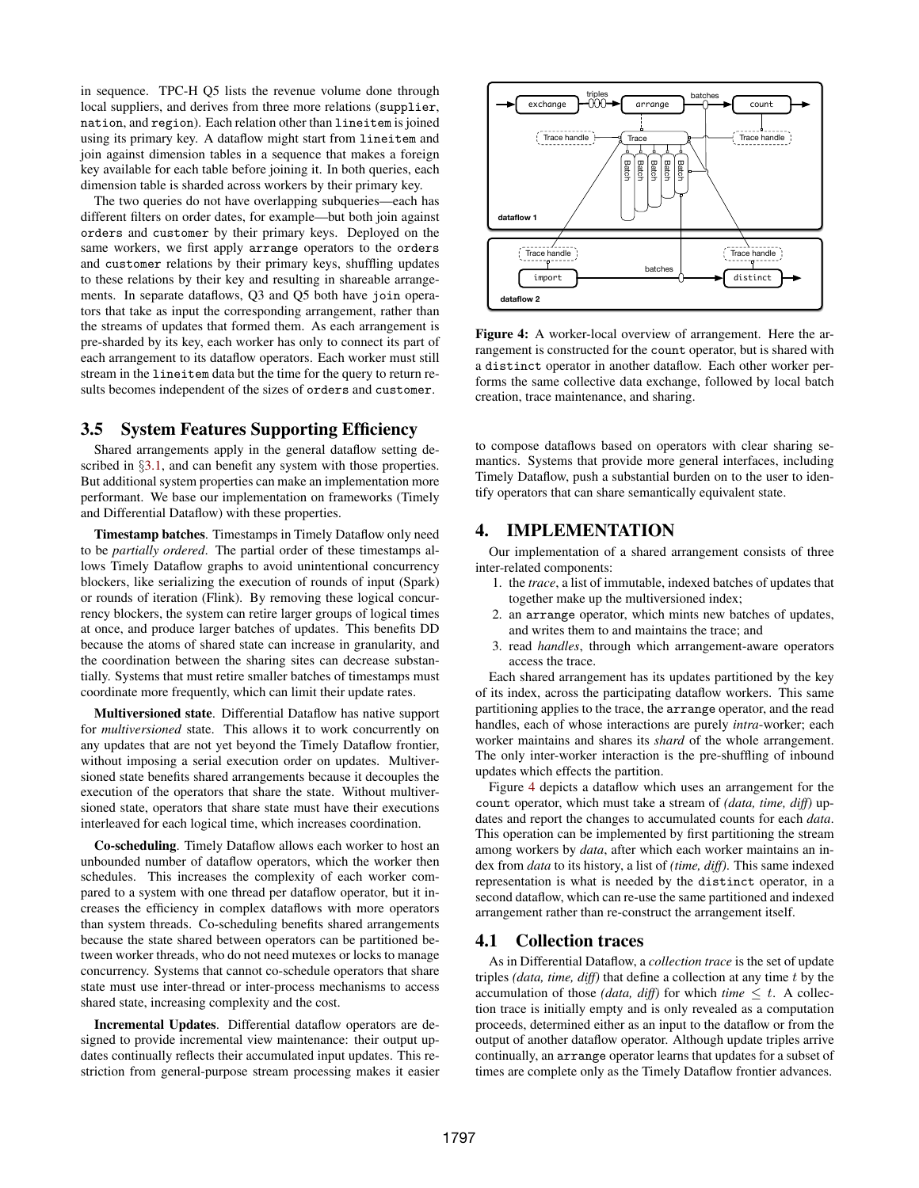in sequence. TPC-H Q5 lists the revenue volume done through local suppliers, and derives from three more relations (supplier, nation, and region). Each relation other than lineitem is joined using its primary key. A dataflow might start from lineitem and join against dimension tables in a sequence that makes a foreign key available for each table before joining it. In both queries, each dimension table is sharded across workers by their primary key.

The two queries do not have overlapping subqueries—each has different filters on order dates, for example—but both join against orders and customer by their primary keys. Deployed on the same workers, we first apply arrange operators to the orders and customer relations by their primary keys, shuffling updates to these relations by their key and resulting in shareable arrangements. In separate dataflows, Q3 and Q5 both have join operators that take as input the corresponding arrangement, rather than the streams of updates that formed them. As each arrangement is pre-sharded by its key, each worker has only to connect its part of each arrangement to its dataflow operators. Each worker must still stream in the lineitem data but the time for the query to return results becomes independent of the sizes of orders and customer.

# <span id="page-4-0"></span>3.5 System Features Supporting Efficiency

Shared arrangements apply in the general dataflow setting de-scribed in §[3.1,](#page-2-1) and can benefit any system with those properties. But additional system properties can make an implementation more performant. We base our implementation on frameworks (Timely and Differential Dataflow) with these properties.

Timestamp batches. Timestamps in Timely Dataflow only need to be *partially ordered*. The partial order of these timestamps allows Timely Dataflow graphs to avoid unintentional concurrency blockers, like serializing the execution of rounds of input (Spark) or rounds of iteration (Flink). By removing these logical concurrency blockers, the system can retire larger groups of logical times at once, and produce larger batches of updates. This benefits DD because the atoms of shared state can increase in granularity, and the coordination between the sharing sites can decrease substantially. Systems that must retire smaller batches of timestamps must coordinate more frequently, which can limit their update rates.

Multiversioned state. Differential Dataflow has native support for *multiversioned* state. This allows it to work concurrently on any updates that are not yet beyond the Timely Dataflow frontier, without imposing a serial execution order on updates. Multiversioned state benefits shared arrangements because it decouples the execution of the operators that share the state. Without multiversioned state, operators that share state must have their executions interleaved for each logical time, which increases coordination.

Co-scheduling. Timely Dataflow allows each worker to host an unbounded number of dataflow operators, which the worker then schedules. This increases the complexity of each worker compared to a system with one thread per dataflow operator, but it increases the efficiency in complex dataflows with more operators than system threads. Co-scheduling benefits shared arrangements because the state shared between operators can be partitioned between worker threads, who do not need mutexes or locks to manage concurrency. Systems that cannot co-schedule operators that share state must use inter-thread or inter-process mechanisms to access shared state, increasing complexity and the cost.

Incremental Updates. Differential dataflow operators are designed to provide incremental view maintenance: their output updates continually reflects their accumulated input updates. This restriction from general-purpose stream processing makes it easier

<span id="page-4-1"></span>

Figure 4: A worker-local overview of arrangement. Here the arrangement is constructed for the count operator, but is shared with a distinct operator in another dataflow. Each other worker performs the same collective data exchange, followed by local batch creation, trace maintenance, and sharing.

to compose dataflows based on operators with clear sharing semantics. Systems that provide more general interfaces, including Timely Dataflow, push a substantial burden on to the user to identify operators that can share semantically equivalent state.

# 4. IMPLEMENTATION

Our implementation of a shared arrangement consists of three inter-related components:

- 1. the *trace*, a list of immutable, indexed batches of updates that together make up the multiversioned index;
- 2. an arrange operator, which mints new batches of updates, and writes them to and maintains the trace; and
- 3. read *handles*, through which arrangement-aware operators access the trace.

Each shared arrangement has its updates partitioned by the key of its index, across the participating dataflow workers. This same partitioning applies to the trace, the arrange operator, and the read handles, each of whose interactions are purely *intra*-worker; each worker maintains and shares its *shard* of the whole arrangement. The only inter-worker interaction is the pre-shuffling of inbound updates which effects the partition.

Figure [4](#page-4-1) depicts a dataflow which uses an arrangement for the count operator, which must take a stream of *(data, time, diff)* updates and report the changes to accumulated counts for each *data*. This operation can be implemented by first partitioning the stream among workers by *data*, after which each worker maintains an index from *data* to its history, a list of *(time, diff)*. This same indexed representation is what is needed by the distinct operator, in a second dataflow, which can re-use the same partitioned and indexed arrangement rather than re-construct the arrangement itself.

## 4.1 Collection traces

As in Differential Dataflow, a *collection trace* is the set of update triples *(data, time, diff)* that define a collection at any time t by the accumulation of those *(data, diff)* for which *time*  $\leq t$ . A collection trace is initially empty and is only revealed as a computation proceeds, determined either as an input to the dataflow or from the output of another dataflow operator. Although update triples arrive continually, an arrange operator learns that updates for a subset of times are complete only as the Timely Dataflow frontier advances.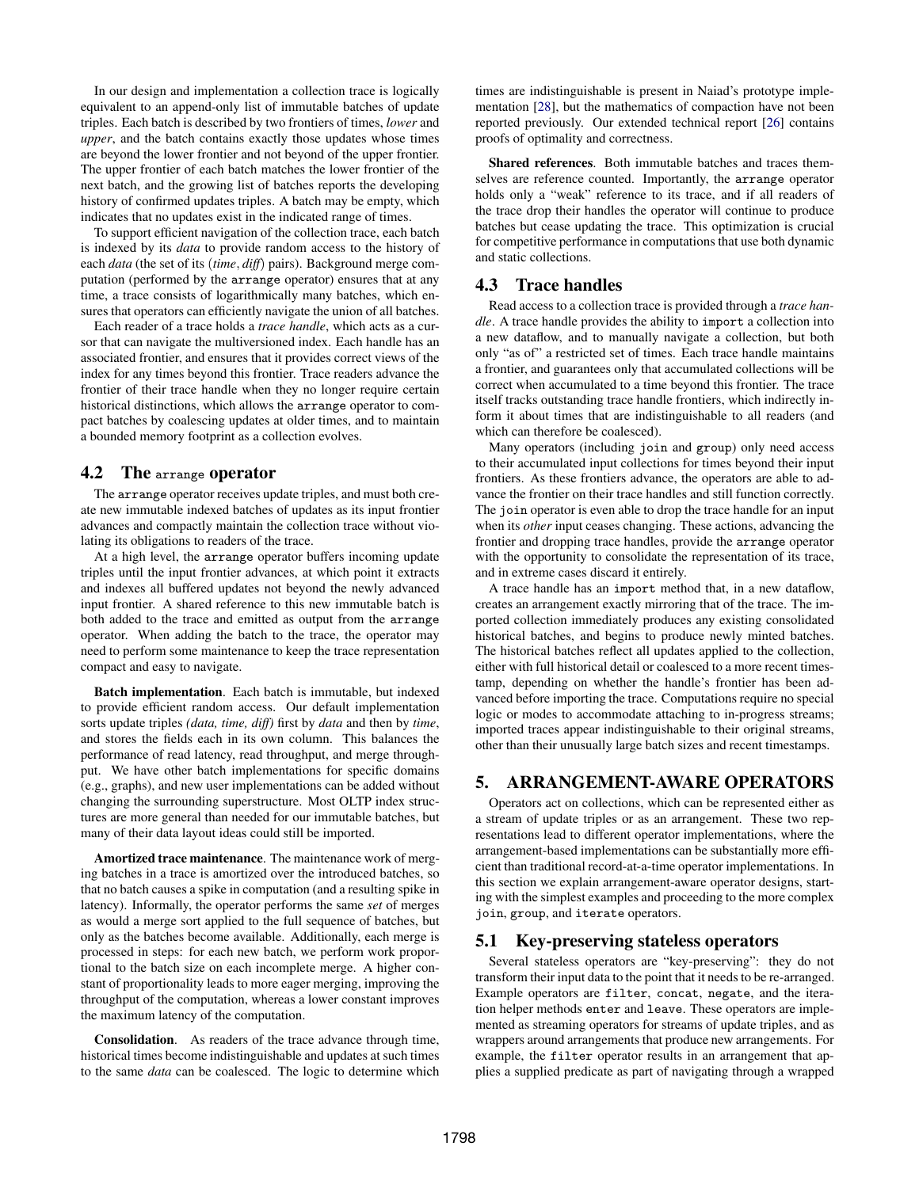In our design and implementation a collection trace is logically equivalent to an append-only list of immutable batches of update triples. Each batch is described by two frontiers of times, *lower* and *upper*, and the batch contains exactly those updates whose times are beyond the lower frontier and not beyond of the upper frontier. The upper frontier of each batch matches the lower frontier of the next batch, and the growing list of batches reports the developing history of confirmed updates triples. A batch may be empty, which indicates that no updates exist in the indicated range of times.

To support efficient navigation of the collection trace, each batch is indexed by its *data* to provide random access to the history of each *data* (the set of its (*time*, *diff*) pairs). Background merge computation (performed by the arrange operator) ensures that at any time, a trace consists of logarithmically many batches, which ensures that operators can efficiently navigate the union of all batches.

Each reader of a trace holds a *trace handle*, which acts as a cursor that can navigate the multiversioned index. Each handle has an associated frontier, and ensures that it provides correct views of the index for any times beyond this frontier. Trace readers advance the frontier of their trace handle when they no longer require certain historical distinctions, which allows the arrange operator to compact batches by coalescing updates at older times, and to maintain a bounded memory footprint as a collection evolves.

#### 4.2 The arrange operator

The arrange operator receives update triples, and must both create new immutable indexed batches of updates as its input frontier advances and compactly maintain the collection trace without violating its obligations to readers of the trace.

At a high level, the arrange operator buffers incoming update triples until the input frontier advances, at which point it extracts and indexes all buffered updates not beyond the newly advanced input frontier. A shared reference to this new immutable batch is both added to the trace and emitted as output from the arrange operator. When adding the batch to the trace, the operator may need to perform some maintenance to keep the trace representation compact and easy to navigate.

Batch implementation. Each batch is immutable, but indexed to provide efficient random access. Our default implementation sorts update triples *(data, time, diff)* first by *data* and then by *time*, and stores the fields each in its own column. This balances the performance of read latency, read throughput, and merge throughput. We have other batch implementations for specific domains (e.g., graphs), and new user implementations can be added without changing the surrounding superstructure. Most OLTP index structures are more general than needed for our immutable batches, but many of their data layout ideas could still be imported.

Amortized trace maintenance. The maintenance work of merging batches in a trace is amortized over the introduced batches, so that no batch causes a spike in computation (and a resulting spike in latency). Informally, the operator performs the same *set* of merges as would a merge sort applied to the full sequence of batches, but only as the batches become available. Additionally, each merge is processed in steps: for each new batch, we perform work proportional to the batch size on each incomplete merge. A higher constant of proportionality leads to more eager merging, improving the throughput of the computation, whereas a lower constant improves the maximum latency of the computation.

Consolidation. As readers of the trace advance through time, historical times become indistinguishable and updates at such times to the same *data* can be coalesced. The logic to determine which

times are indistinguishable is present in Naiad's prototype implementation [\[28\]](#page-12-0), but the mathematics of compaction have not been reported previously. Our extended technical report [\[26\]](#page-12-21) contains proofs of optimality and correctness.

Shared references. Both immutable batches and traces themselves are reference counted. Importantly, the arrange operator holds only a "weak" reference to its trace, and if all readers of the trace drop their handles the operator will continue to produce batches but cease updating the trace. This optimization is crucial for competitive performance in computations that use both dynamic and static collections.

## 4.3 Trace handles

Read access to a collection trace is provided through a *trace handle*. A trace handle provides the ability to import a collection into a new dataflow, and to manually navigate a collection, but both only "as of" a restricted set of times. Each trace handle maintains a frontier, and guarantees only that accumulated collections will be correct when accumulated to a time beyond this frontier. The trace itself tracks outstanding trace handle frontiers, which indirectly inform it about times that are indistinguishable to all readers (and which can therefore be coalesced).

Many operators (including join and group) only need access to their accumulated input collections for times beyond their input frontiers. As these frontiers advance, the operators are able to advance the frontier on their trace handles and still function correctly. The join operator is even able to drop the trace handle for an input when its *other* input ceases changing. These actions, advancing the frontier and dropping trace handles, provide the arrange operator with the opportunity to consolidate the representation of its trace, and in extreme cases discard it entirely.

A trace handle has an import method that, in a new dataflow, creates an arrangement exactly mirroring that of the trace. The imported collection immediately produces any existing consolidated historical batches, and begins to produce newly minted batches. The historical batches reflect all updates applied to the collection, either with full historical detail or coalesced to a more recent timestamp, depending on whether the handle's frontier has been advanced before importing the trace. Computations require no special logic or modes to accommodate attaching to in-progress streams; imported traces appear indistinguishable to their original streams, other than their unusually large batch sizes and recent timestamps.

# 5. ARRANGEMENT-AWARE OPERATORS

Operators act on collections, which can be represented either as a stream of update triples or as an arrangement. These two representations lead to different operator implementations, where the arrangement-based implementations can be substantially more efficient than traditional record-at-a-time operator implementations. In this section we explain arrangement-aware operator designs, starting with the simplest examples and proceeding to the more complex join, group, and iterate operators.

#### 5.1 Key-preserving stateless operators

Several stateless operators are "key-preserving": they do not transform their input data to the point that it needs to be re-arranged. Example operators are filter, concat, negate, and the iteration helper methods enter and leave. These operators are implemented as streaming operators for streams of update triples, and as wrappers around arrangements that produce new arrangements. For example, the filter operator results in an arrangement that applies a supplied predicate as part of navigating through a wrapped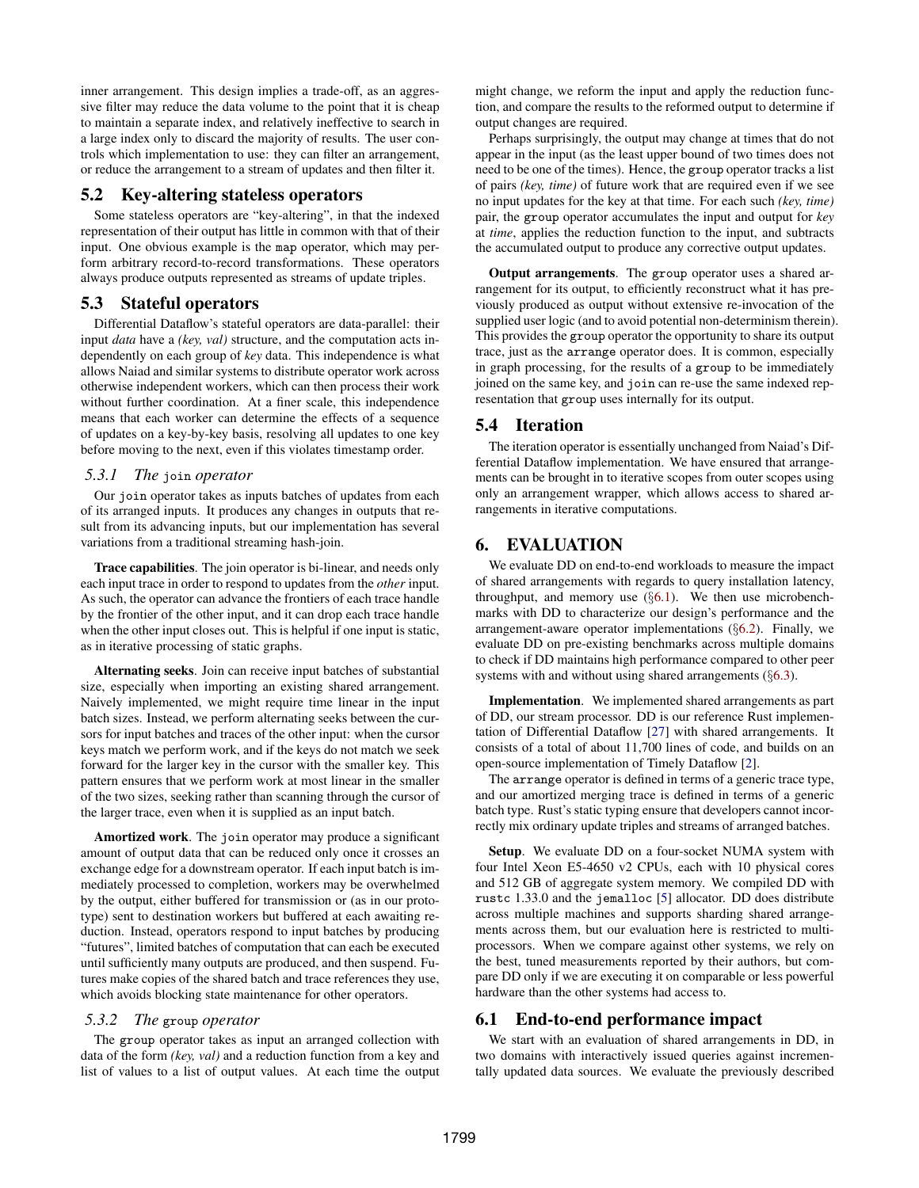inner arrangement. This design implies a trade-off, as an aggressive filter may reduce the data volume to the point that it is cheap to maintain a separate index, and relatively ineffective to search in a large index only to discard the majority of results. The user controls which implementation to use: they can filter an arrangement, or reduce the arrangement to a stream of updates and then filter it.

#### 5.2 Key-altering stateless operators

Some stateless operators are "key-altering", in that the indexed representation of their output has little in common with that of their input. One obvious example is the map operator, which may perform arbitrary record-to-record transformations. These operators always produce outputs represented as streams of update triples.

#### 5.3 Stateful operators

Differential Dataflow's stateful operators are data-parallel: their input *data* have a *(key, val)* structure, and the computation acts independently on each group of *key* data. This independence is what allows Naiad and similar systems to distribute operator work across otherwise independent workers, which can then process their work without further coordination. At a finer scale, this independence means that each worker can determine the effects of a sequence of updates on a key-by-key basis, resolving all updates to one key before moving to the next, even if this violates timestamp order.

#### <span id="page-6-2"></span>*5.3.1 The* join *operator*

Our join operator takes as inputs batches of updates from each of its arranged inputs. It produces any changes in outputs that result from its advancing inputs, but our implementation has several variations from a traditional streaming hash-join.

Trace capabilities. The join operator is bi-linear, and needs only each input trace in order to respond to updates from the *other* input. As such, the operator can advance the frontiers of each trace handle by the frontier of the other input, and it can drop each trace handle when the other input closes out. This is helpful if one input is static, as in iterative processing of static graphs.

Alternating seeks. Join can receive input batches of substantial size, especially when importing an existing shared arrangement. Naively implemented, we might require time linear in the input batch sizes. Instead, we perform alternating seeks between the cursors for input batches and traces of the other input: when the cursor keys match we perform work, and if the keys do not match we seek forward for the larger key in the cursor with the smaller key. This pattern ensures that we perform work at most linear in the smaller of the two sizes, seeking rather than scanning through the cursor of the larger trace, even when it is supplied as an input batch.

Amortized work. The join operator may produce a significant amount of output data that can be reduced only once it crosses an exchange edge for a downstream operator. If each input batch is immediately processed to completion, workers may be overwhelmed by the output, either buffered for transmission or (as in our prototype) sent to destination workers but buffered at each awaiting reduction. Instead, operators respond to input batches by producing "futures", limited batches of computation that can each be executed until sufficiently many outputs are produced, and then suspend. Futures make copies of the shared batch and trace references they use, which avoids blocking state maintenance for other operators.

## *5.3.2 The* group *operator*

The group operator takes as input an arranged collection with data of the form *(key, val)* and a reduction function from a key and list of values to a list of output values. At each time the output might change, we reform the input and apply the reduction function, and compare the results to the reformed output to determine if output changes are required.

Perhaps surprisingly, the output may change at times that do not appear in the input (as the least upper bound of two times does not need to be one of the times). Hence, the group operator tracks a list of pairs *(key, time)* of future work that are required even if we see no input updates for the key at that time. For each such *(key, time)* pair, the group operator accumulates the input and output for *key* at *time*, applies the reduction function to the input, and subtracts the accumulated output to produce any corrective output updates.

Output arrangements. The group operator uses a shared arrangement for its output, to efficiently reconstruct what it has previously produced as output without extensive re-invocation of the supplied user logic (and to avoid potential non-determinism therein). This provides the group operator the opportunity to share its output trace, just as the arrange operator does. It is common, especially in graph processing, for the results of a group to be immediately joined on the same key, and join can re-use the same indexed representation that group uses internally for its output.

## 5.4 Iteration

The iteration operator is essentially unchanged from Naiad's Differential Dataflow implementation. We have ensured that arrangements can be brought in to iterative scopes from outer scopes using only an arrangement wrapper, which allows access to shared arrangements in iterative computations.

# <span id="page-6-0"></span>6. EVALUATION

We evaluate DD on end-to-end workloads to measure the impact of shared arrangements with regards to query installation latency, throughput, and memory use  $(\S6.1)$  $(\S6.1)$ . We then use microbenchmarks with DD to characterize our design's performance and the arrangement-aware operator implementations  $(\S6.2)$  $(\S6.2)$ . Finally, we evaluate DD on pre-existing benchmarks across multiple domains to check if DD maintains high performance compared to other peer systems with and without using shared arrangements (§[6.3\)](#page-10-0).

Implementation. We implemented shared arrangements as part of DD, our stream processor. DD is our reference Rust implementation of Differential Dataflow [\[27\]](#page-12-1) with shared arrangements. It consists of a total of about 11,700 lines of code, and builds on an open-source implementation of Timely Dataflow [\[2\]](#page-12-19).

The arrange operator is defined in terms of a generic trace type, and our amortized merging trace is defined in terms of a generic batch type. Rust's static typing ensure that developers cannot incorrectly mix ordinary update triples and streams of arranged batches.

Setup. We evaluate DD on a four-socket NUMA system with four Intel Xeon E5-4650 v2 CPUs, each with 10 physical cores and 512 GB of aggregate system memory. We compiled DD with rustc 1.33.0 and the jemalloc [\[5\]](#page-12-22) allocator. DD does distribute across multiple machines and supports sharding shared arrangements across them, but our evaluation here is restricted to multiprocessors. When we compare against other systems, we rely on the best, tuned measurements reported by their authors, but compare DD only if we are executing it on comparable or less powerful hardware than the other systems had access to.

#### <span id="page-6-1"></span>6.1 End-to-end performance impact

We start with an evaluation of shared arrangements in DD, in two domains with interactively issued queries against incrementally updated data sources. We evaluate the previously described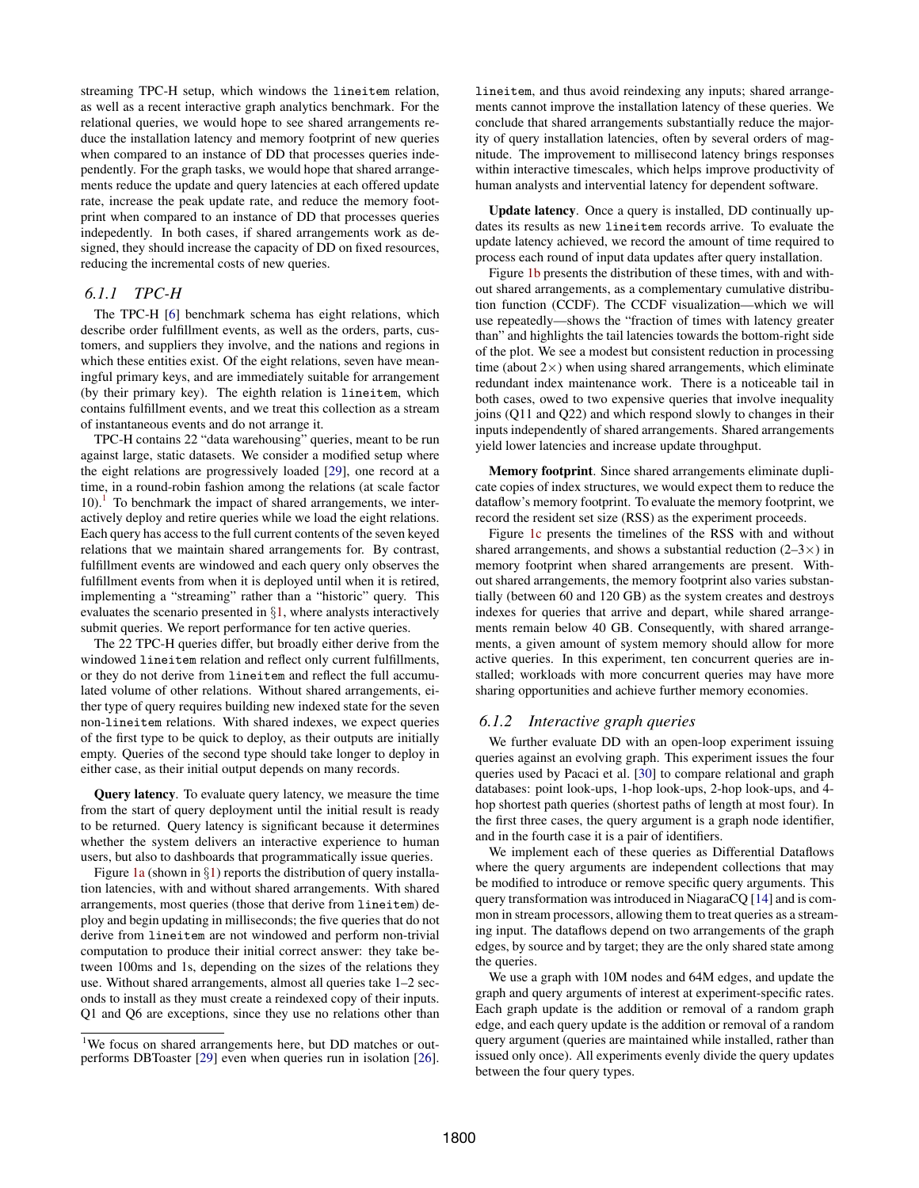streaming TPC-H setup, which windows the lineitem relation, as well as a recent interactive graph analytics benchmark. For the relational queries, we would hope to see shared arrangements reduce the installation latency and memory footprint of new queries when compared to an instance of DD that processes queries independently. For the graph tasks, we would hope that shared arrangements reduce the update and query latencies at each offered update rate, increase the peak update rate, and reduce the memory footprint when compared to an instance of DD that processes queries indepedently. In both cases, if shared arrangements work as designed, they should increase the capacity of DD on fixed resources, reducing the incremental costs of new queries.

## *6.1.1 TPC-H*

The TPC-H [\[6\]](#page-12-6) benchmark schema has eight relations, which describe order fulfillment events, as well as the orders, parts, customers, and suppliers they involve, and the nations and regions in which these entities exist. Of the eight relations, seven have meaningful primary keys, and are immediately suitable for arrangement (by their primary key). The eighth relation is lineitem, which contains fulfillment events, and we treat this collection as a stream of instantaneous events and do not arrange it.

TPC-H contains 22 "data warehousing" queries, meant to be run against large, static datasets. We consider a modified setup where the eight relations are progressively loaded [\[29\]](#page-12-7), one record at a time, in a round-robin fashion among the relations (at scale factor  $10$  $10$ ).<sup>1</sup> To benchmark the impact of shared arrangements, we interactively deploy and retire queries while we load the eight relations. Each query has access to the full current contents of the seven keyed relations that we maintain shared arrangements for. By contrast, fulfillment events are windowed and each query only observes the fulfillment events from when it is deployed until when it is retired, implementing a "streaming" rather than a "historic" query. This evaluates the scenario presented in  $\S1$ , where analysts interactively submit queries. We report performance for ten active queries.

The 22 TPC-H queries differ, but broadly either derive from the windowed lineitem relation and reflect only current fulfillments, or they do not derive from lineitem and reflect the full accumulated volume of other relations. Without shared arrangements, either type of query requires building new indexed state for the seven non-lineitem relations. With shared indexes, we expect queries of the first type to be quick to deploy, as their outputs are initially empty. Queries of the second type should take longer to deploy in either case, as their initial output depends on many records.

Query latency. To evaluate query latency, we measure the time from the start of query deployment until the initial result is ready to be returned. Query latency is significant because it determines whether the system delivers an interactive experience to human users, but also to dashboards that programmatically issue queries.

Figure [1a](#page-1-0) (shown in  $\S1$ ) reports the distribution of query installation latencies, with and without shared arrangements. With shared arrangements, most queries (those that derive from lineitem) deploy and begin updating in milliseconds; the five queries that do not derive from lineitem are not windowed and perform non-trivial computation to produce their initial correct answer: they take between 100ms and 1s, depending on the sizes of the relations they use. Without shared arrangements, almost all queries take 1–2 seconds to install as they must create a reindexed copy of their inputs. Q1 and Q6 are exceptions, since they use no relations other than lineitem, and thus avoid reindexing any inputs; shared arrangements cannot improve the installation latency of these queries. We conclude that shared arrangements substantially reduce the majority of query installation latencies, often by several orders of magnitude. The improvement to millisecond latency brings responses within interactive timescales, which helps improve productivity of human analysts and intervential latency for dependent software.

Update latency. Once a query is installed, DD continually updates its results as new lineitem records arrive. To evaluate the update latency achieved, we record the amount of time required to process each round of input data updates after query installation.

Figure [1b](#page-1-0) presents the distribution of these times, with and without shared arrangements, as a complementary cumulative distribution function (CCDF). The CCDF visualization—which we will use repeatedly—shows the "fraction of times with latency greater than" and highlights the tail latencies towards the bottom-right side of the plot. We see a modest but consistent reduction in processing time (about  $2\times$ ) when using shared arrangements, which eliminate redundant index maintenance work. There is a noticeable tail in both cases, owed to two expensive queries that involve inequality joins (Q11 and Q22) and which respond slowly to changes in their inputs independently of shared arrangements. Shared arrangements yield lower latencies and increase update throughput.

Memory footprint. Since shared arrangements eliminate duplicate copies of index structures, we would expect them to reduce the dataflow's memory footprint. To evaluate the memory footprint, we record the resident set size (RSS) as the experiment proceeds.

Figure [1c](#page-1-0) presents the timelines of the RSS with and without shared arrangements, and shows a substantial reduction  $(2-3\times)$  in memory footprint when shared arrangements are present. Without shared arrangements, the memory footprint also varies substantially (between 60 and 120 GB) as the system creates and destroys indexes for queries that arrive and depart, while shared arrangements remain below 40 GB. Consequently, with shared arrangements, a given amount of system memory should allow for more active queries. In this experiment, ten concurrent queries are installed; workloads with more concurrent queries may have more sharing opportunities and achieve further memory economies.

## *6.1.2 Interactive graph queries*

We further evaluate DD with an open-loop experiment issuing queries against an evolving graph. This experiment issues the four queries used by Pacaci et al. [\[30\]](#page-12-23) to compare relational and graph databases: point look-ups, 1-hop look-ups, 2-hop look-ups, and 4 hop shortest path queries (shortest paths of length at most four). In the first three cases, the query argument is a graph node identifier, and in the fourth case it is a pair of identifiers.

We implement each of these queries as Differential Dataflows where the query arguments are independent collections that may be modified to introduce or remove specific query arguments. This query transformation was introduced in NiagaraCQ [\[14\]](#page-12-24) and is common in stream processors, allowing them to treat queries as a streaming input. The dataflows depend on two arrangements of the graph edges, by source and by target; they are the only shared state among the queries.

We use a graph with 10M nodes and 64M edges, and update the graph and query arguments of interest at experiment-specific rates. Each graph update is the addition or removal of a random graph edge, and each query update is the addition or removal of a random query argument (queries are maintained while installed, rather than issued only once). All experiments evenly divide the query updates between the four query types.

<span id="page-7-0"></span><sup>&</sup>lt;sup>1</sup>We focus on shared arrangements here, but DD matches or outperforms DBToaster [\[29\]](#page-12-7) even when queries run in isolation [\[26\]](#page-12-21).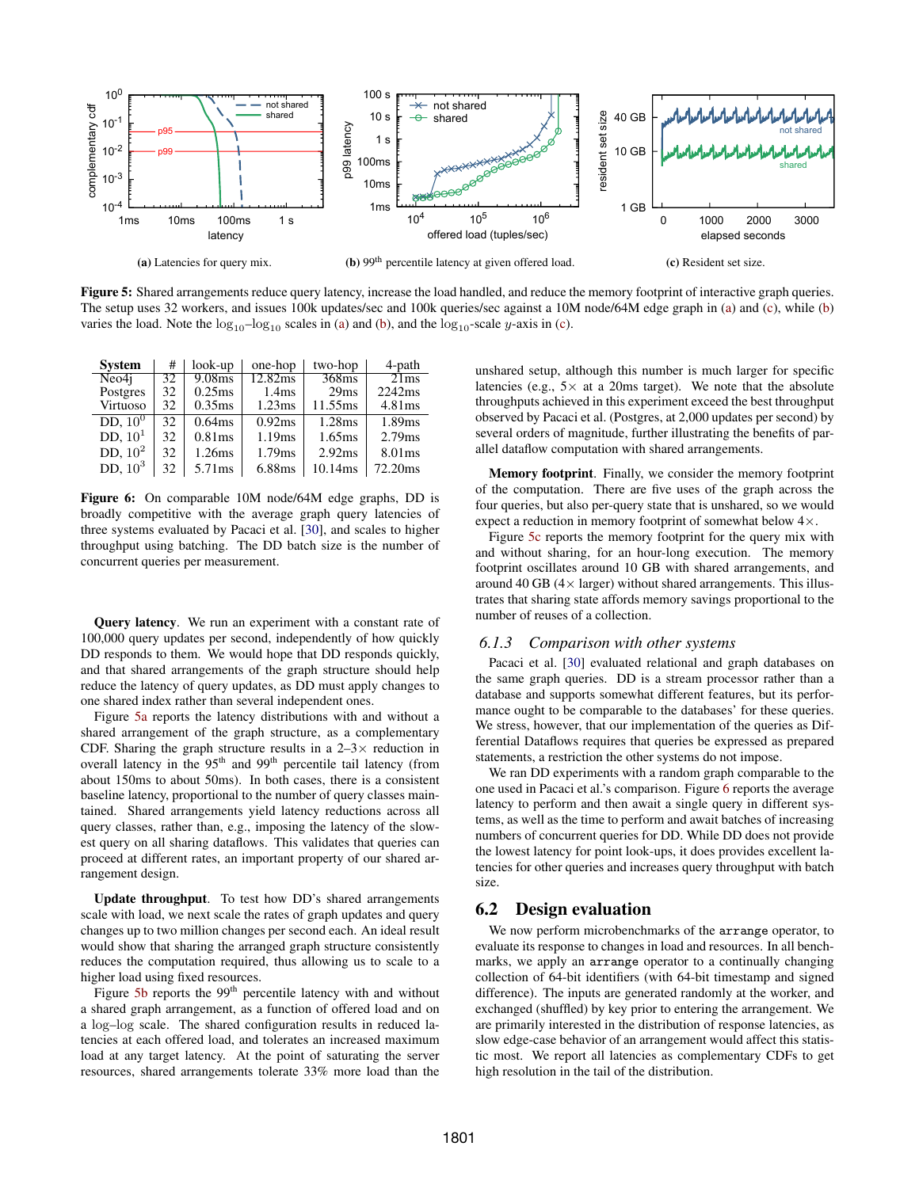<span id="page-8-1"></span>

Figure 5: Shared arrangements reduce query latency, increase the load handled, and reduce the memory footprint of interactive graph queries. The setup uses 32 workers, and issues 100k updates/sec and 100k queries/sec against a 10M node/64M edge graph in [\(a\)](#page-8-1) and [\(c\)](#page-8-1), while [\(b\)](#page-8-1) varies the load. Note the  $log_{10}$ –log<sub>10</sub> scales in [\(a\)](#page-8-1) and [\(b\)](#page-8-1), and the  $log_{10}$ -scale y-axis in [\(c\)](#page-8-1).

<span id="page-8-2"></span>

| <b>System</b> | #  | look-up            | one-hop           | two-hop | 4-path  |
|---------------|----|--------------------|-------------------|---------|---------|
| Neo4i         | 32 | 9.08 <sub>ms</sub> | 12.82ms           | 368ms   | 21ms    |
| Postgres      | 32 | 0.25ms             | 1.4 <sub>ms</sub> | 29ms    | 2242ms  |
| Virtuoso      | 32 | 0.35ms             | 1.23ms            | 11.55ms | 4.81ms  |
| DD, $10^0$    | 32 | 0.64ms             | 0.92ms            | 1.28ms  | 1.89ms  |
| DD, $101$     | 32 | 0.81ms             | 1.19ms            | 1.65ms  | 2.79ms  |
| DD, $102$     | 32 | 1.26ms             | 1.79ms            | 2.92ms  | 8.01ms  |
| DD, $103$     | 32 | 5.71ms             | 6.88ms            | 10.14ms | 72.20ms |

Figure 6: On comparable 10M node/64M edge graphs, DD is broadly competitive with the average graph query latencies of three systems evaluated by Pacaci et al. [\[30\]](#page-12-23), and scales to higher throughput using batching. The DD batch size is the number of concurrent queries per measurement.

Query latency. We run an experiment with a constant rate of 100,000 query updates per second, independently of how quickly DD responds to them. We would hope that DD responds quickly, and that shared arrangements of the graph structure should help reduce the latency of query updates, as DD must apply changes to one shared index rather than several independent ones.

Figure [5a](#page-8-1) reports the latency distributions with and without a shared arrangement of the graph structure, as a complementary CDF. Sharing the graph structure results in a  $2-3\times$  reduction in overall latency in the  $95<sup>th</sup>$  and  $99<sup>th</sup>$  percentile tail latency (from about 150ms to about 50ms). In both cases, there is a consistent baseline latency, proportional to the number of query classes maintained. Shared arrangements yield latency reductions across all query classes, rather than, e.g., imposing the latency of the slowest query on all sharing dataflows. This validates that queries can proceed at different rates, an important property of our shared arrangement design.

Update throughput. To test how DD's shared arrangements scale with load, we next scale the rates of graph updates and query changes up to two million changes per second each. An ideal result would show that sharing the arranged graph structure consistently reduces the computation required, thus allowing us to scale to a higher load using fixed resources.

Figure  $5b$  reports the 99<sup>th</sup> percentile latency with and without a shared graph arrangement, as a function of offered load and on a log–log scale. The shared configuration results in reduced latencies at each offered load, and tolerates an increased maximum load at any target latency. At the point of saturating the server resources, shared arrangements tolerate 33% more load than the

unshared setup, although this number is much larger for specific latencies (e.g.,  $5 \times$  at a 20ms target). We note that the absolute throughputs achieved in this experiment exceed the best throughput observed by Pacaci et al. (Postgres, at 2,000 updates per second) by several orders of magnitude, further illustrating the benefits of parallel dataflow computation with shared arrangements.

Memory footprint. Finally, we consider the memory footprint of the computation. There are five uses of the graph across the four queries, but also per-query state that is unshared, so we would expect a reduction in memory footprint of somewhat below 4×.

Figure [5c](#page-8-1) reports the memory footprint for the query mix with and without sharing, for an hour-long execution. The memory footprint oscillates around 10 GB with shared arrangements, and around 40 GB ( $4 \times$  larger) without shared arrangements. This illustrates that sharing state affords memory savings proportional to the number of reuses of a collection.

#### *6.1.3 Comparison with other systems*

Pacaci et al. [\[30\]](#page-12-23) evaluated relational and graph databases on the same graph queries. DD is a stream processor rather than a database and supports somewhat different features, but its performance ought to be comparable to the databases' for these queries. We stress, however, that our implementation of the queries as Differential Dataflows requires that queries be expressed as prepared statements, a restriction the other systems do not impose.

We ran DD experiments with a random graph comparable to the one used in Pacaci et al.'s comparison. Figure [6](#page-8-2) reports the average latency to perform and then await a single query in different systems, as well as the time to perform and await batches of increasing numbers of concurrent queries for DD. While DD does not provide the lowest latency for point look-ups, it does provides excellent latencies for other queries and increases query throughput with batch size.

#### <span id="page-8-0"></span>6.2 Design evaluation

We now perform microbenchmarks of the arrange operator, to evaluate its response to changes in load and resources. In all benchmarks, we apply an arrange operator to a continually changing collection of 64-bit identifiers (with 64-bit timestamp and signed difference). The inputs are generated randomly at the worker, and exchanged (shuffled) by key prior to entering the arrangement. We are primarily interested in the distribution of response latencies, as slow edge-case behavior of an arrangement would affect this statistic most. We report all latencies as complementary CDFs to get high resolution in the tail of the distribution.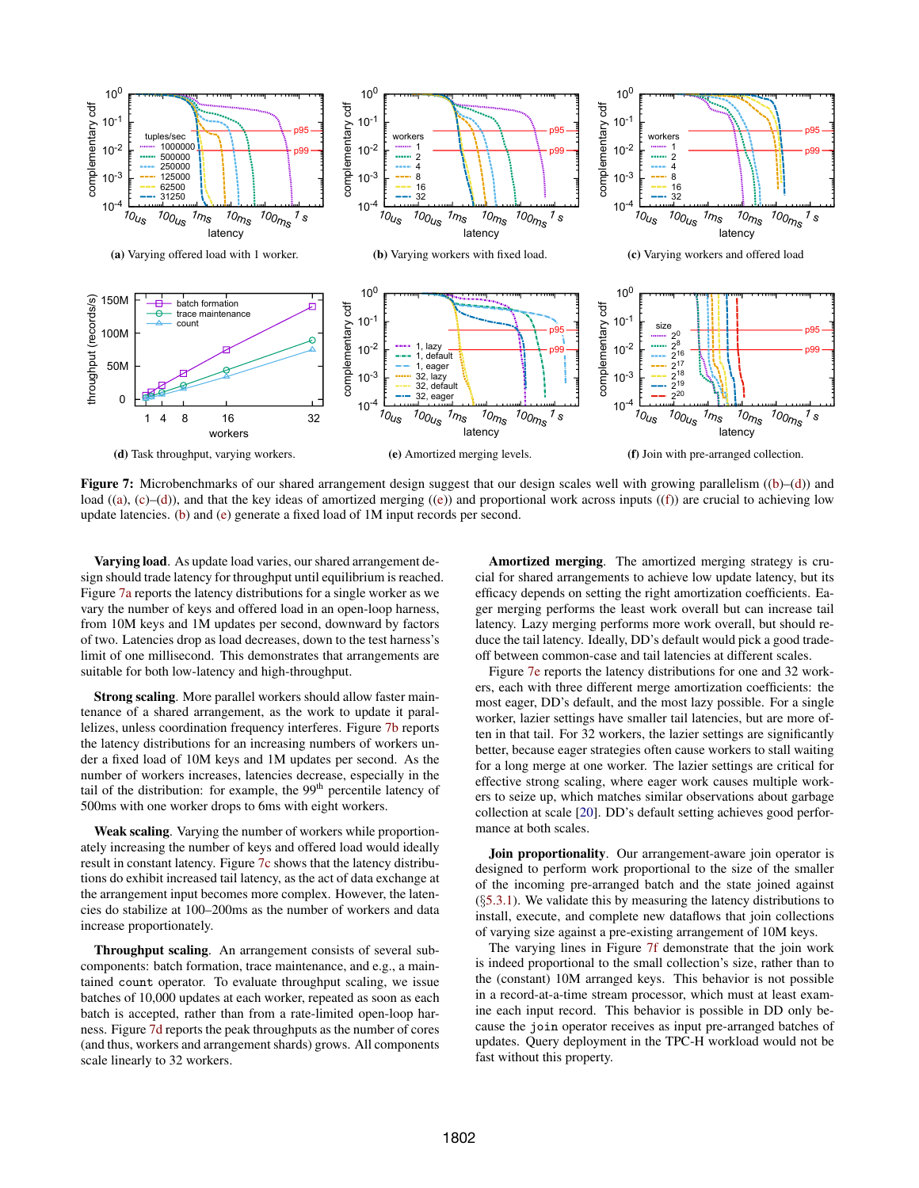<span id="page-9-0"></span>

Figure 7: Microbenchmarks of our shared arrangement design suggest that our design scales well with growing parallelism ([\(b\)](#page-9-0)–[\(d\)](#page-9-0)) and load ([\(a\)](#page-9-0), [\(c\)](#page-9-0)–[\(d\)](#page-9-0)), and that the key ideas of amortized merging ([\(e\)](#page-9-0)) and proportional work across inputs ([\(f\)](#page-9-0)) are crucial to achieving low update latencies. [\(b\)](#page-9-0) and [\(e\)](#page-9-0) generate a fixed load of 1M input records per second.

Varying load. As update load varies, our shared arrangement design should trade latency for throughput until equilibrium is reached. Figure [7a](#page-9-0) reports the latency distributions for a single worker as we vary the number of keys and offered load in an open-loop harness, from 10M keys and 1M updates per second, downward by factors of two. Latencies drop as load decreases, down to the test harness's limit of one millisecond. This demonstrates that arrangements are suitable for both low-latency and high-throughput.

Strong scaling. More parallel workers should allow faster maintenance of a shared arrangement, as the work to update it parallelizes, unless coordination frequency interferes. Figure [7b](#page-9-0) reports the latency distributions for an increasing numbers of workers under a fixed load of 10M keys and 1M updates per second. As the number of workers increases, latencies decrease, especially in the tail of the distribution: for example, the  $99<sup>th</sup>$  percentile latency of 500ms with one worker drops to 6ms with eight workers.

Weak scaling. Varying the number of workers while proportionately increasing the number of keys and offered load would ideally result in constant latency. Figure [7c](#page-9-0) shows that the latency distributions do exhibit increased tail latency, as the act of data exchange at the arrangement input becomes more complex. However, the latencies do stabilize at 100–200ms as the number of workers and data increase proportionately.

Throughput scaling. An arrangement consists of several subcomponents: batch formation, trace maintenance, and e.g., a maintained count operator. To evaluate throughput scaling, we issue batches of 10,000 updates at each worker, repeated as soon as each batch is accepted, rather than from a rate-limited open-loop harness. Figure [7d](#page-9-0) reports the peak throughputs as the number of cores (and thus, workers and arrangement shards) grows. All components scale linearly to 32 workers.

Amortized merging. The amortized merging strategy is crucial for shared arrangements to achieve low update latency, but its efficacy depends on setting the right amortization coefficients. Eager merging performs the least work overall but can increase tail latency. Lazy merging performs more work overall, but should reduce the tail latency. Ideally, DD's default would pick a good tradeoff between common-case and tail latencies at different scales.

Figure [7e](#page-9-0) reports the latency distributions for one and 32 workers, each with three different merge amortization coefficients: the most eager, DD's default, and the most lazy possible. For a single worker, lazier settings have smaller tail latencies, but are more often in that tail. For 32 workers, the lazier settings are significantly better, because eager strategies often cause workers to stall waiting for a long merge at one worker. The lazier settings are critical for effective strong scaling, where eager work causes multiple workers to seize up, which matches similar observations about garbage collection at scale [\[20\]](#page-12-25). DD's default setting achieves good performance at both scales.

**Join proportionality.** Our arrangement-aware join operator is designed to perform work proportional to the size of the smaller of the incoming pre-arranged batch and the state joined against  $(\S 5.3.1)$  $(\S 5.3.1)$ . We validate this by measuring the latency distributions to install, execute, and complete new dataflows that join collections of varying size against a pre-existing arrangement of 10M keys.

The varying lines in Figure [7f](#page-9-0) demonstrate that the join work is indeed proportional to the small collection's size, rather than to the (constant) 10M arranged keys. This behavior is not possible in a record-at-a-time stream processor, which must at least examine each input record. This behavior is possible in DD only because the join operator receives as input pre-arranged batches of updates. Query deployment in the TPC-H workload would not be fast without this property.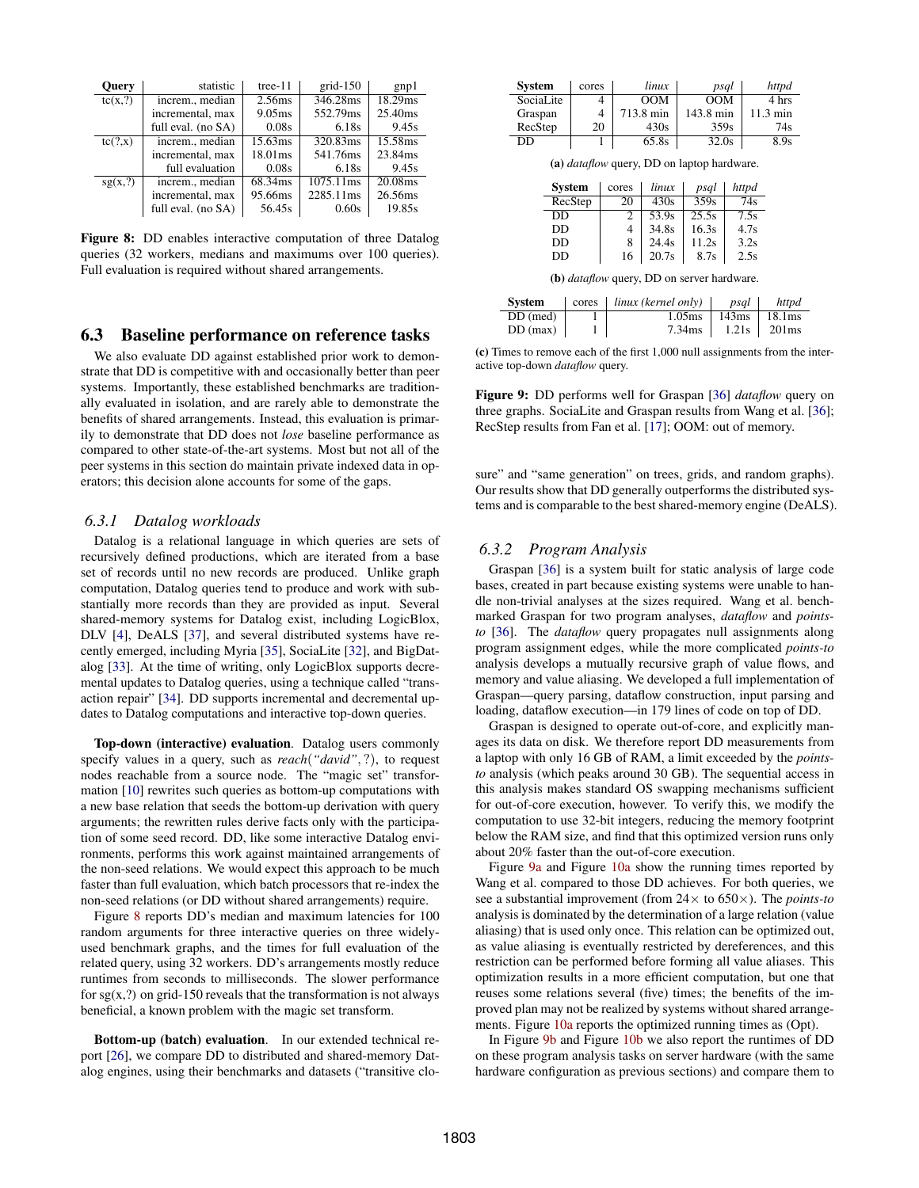<span id="page-10-1"></span>

| <b>Ouery</b> | statistic          | tree- $11$ | $grid-150$ | gnp1    |
|--------------|--------------------|------------|------------|---------|
| tc(x,?)      | increm., median    | 2.56ms     | 346.28ms   | 18.29ms |
|              | incremental, max   | 9.05ms     | 552.79ms   | 25.40ms |
|              | full eval. (no SA) | 0.08s      | 6.18s      | 9.45s   |
| tc(?, x)     | increm., median    | 15.63ms    | 320.83ms   | 15.58ms |
|              | incremental, max   | 18.01ms    | 541.76ms   | 23.84ms |
|              | full evaluation    | 0.08s      | 6.18s      | 9.45s   |
| sg(x,?)      | increm median      | 68.34ms    | 1075.11ms  | 20.08ms |
|              | incremental, max   | 95.66ms    | 2285.11ms  | 26.56ms |
|              | full eval. (no SA) | 56.45s     | 0.60s      | 19.85s  |

Figure 8: DD enables interactive computation of three Datalog queries (32 workers, medians and maximums over 100 queries). Full evaluation is required without shared arrangements.

#### <span id="page-10-0"></span>6.3 Baseline performance on reference tasks

We also evaluate DD against established prior work to demonstrate that DD is competitive with and occasionally better than peer systems. Importantly, these established benchmarks are traditionally evaluated in isolation, and are rarely able to demonstrate the benefits of shared arrangements. Instead, this evaluation is primarily to demonstrate that DD does not *lose* baseline performance as compared to other state-of-the-art systems. Most but not all of the peer systems in this section do maintain private indexed data in operators; this decision alone accounts for some of the gaps.

#### *6.3.1 Datalog workloads*

Datalog is a relational language in which queries are sets of recursively defined productions, which are iterated from a base set of records until no new records are produced. Unlike graph computation, Datalog queries tend to produce and work with substantially more records than they are provided as input. Several shared-memory systems for Datalog exist, including LogicBlox, DLV [\[4\]](#page-12-26), DeALS [\[37\]](#page-13-3), and several distributed systems have recently emerged, including Myria [\[35\]](#page-13-4), SociaLite [\[32\]](#page-12-27), and BigDatalog [\[33\]](#page-13-5). At the time of writing, only LogicBlox supports decremental updates to Datalog queries, using a technique called "transaction repair" [\[34\]](#page-13-6). DD supports incremental and decremental updates to Datalog computations and interactive top-down queries.

Top-down (interactive) evaluation. Datalog users commonly specify values in a query, such as *reach*(*"david"*, ?), to request nodes reachable from a source node. The "magic set" transformation [\[10\]](#page-12-28) rewrites such queries as bottom-up computations with a new base relation that seeds the bottom-up derivation with query arguments; the rewritten rules derive facts only with the participation of some seed record. DD, like some interactive Datalog environments, performs this work against maintained arrangements of the non-seed relations. We would expect this approach to be much faster than full evaluation, which batch processors that re-index the non-seed relations (or DD without shared arrangements) require.

Figure [8](#page-10-1) reports DD's median and maximum latencies for 100 random arguments for three interactive queries on three widelyused benchmark graphs, and the times for full evaluation of the related query, using 32 workers. DD's arrangements mostly reduce runtimes from seconds to milliseconds. The slower performance for  $sg(x,?)$  on grid-150 reveals that the transformation is not always beneficial, a known problem with the magic set transform.

Bottom-up (batch) evaluation. In our extended technical report [\[26\]](#page-12-21), we compare DD to distributed and shared-memory Datalog engines, using their benchmarks and datasets ("transitive clo-

<span id="page-10-2"></span>

| <b>System</b> | cores | linux     | psal      | httpd    |
|---------------|-------|-----------|-----------|----------|
| SociaLite     |       | OOM       | OM        | 4 hrs    |
| Graspan       |       | 713.8 min | 143.8 min | 11.3 min |
| RecStep       | 20    | 430s      | 359s      | 74s      |
| DD            |       | 65.8s     | 32.0s     | 8.9s     |

(a) *dataflow* query, DD on laptop hardware.

| <b>System</b> | cores | linux | psql  | httpd |
|---------------|-------|-------|-------|-------|
| RecStep       | 20    | 430s  | 359s  | 74s   |
| DD            | 2     | 53.9s | 25.5s | 7.5s  |
| DD            | 4     | 34.8s | 16.3s | 4.7s  |
| DD            | 8     | 24.4s | 11.2s | 3.2s  |
| DD            | 16    | 20.7s | 8.7s  | 2.5s  |

(b) *dataflow* query, DD on server hardware.

| <b>System</b> | $cores \mid \text{linux}$ (kernel only) | psal  | httpd                     |
|---------------|-----------------------------------------|-------|---------------------------|
| DD (med)      | 1.05 <sub>ms</sub>                      |       | $143 \text{ms}$   18.1 ms |
| $DD$ (max)    | 7.34ms                                  | 1.21s | 201ms                     |

(c) Times to remove each of the first 1,000 null assignments from the interactive top-down *dataflow* query.

Figure 9: DD performs well for Graspan [\[36\]](#page-13-7) *dataflow* query on three graphs. SociaLite and Graspan results from Wang et al. [\[36\]](#page-13-7); RecStep results from Fan et al. [\[17\]](#page-12-29); OOM: out of memory.

sure" and "same generation" on trees, grids, and random graphs). Our results show that DD generally outperforms the distributed systems and is comparable to the best shared-memory engine (DeALS).

## *6.3.2 Program Analysis*

Graspan [\[36\]](#page-13-7) is a system built for static analysis of large code bases, created in part because existing systems were unable to handle non-trivial analyses at the sizes required. Wang et al. benchmarked Graspan for two program analyses, *dataflow* and *pointsto* [\[36\]](#page-13-7). The *dataflow* query propagates null assignments along program assignment edges, while the more complicated *points-to* analysis develops a mutually recursive graph of value flows, and memory and value aliasing. We developed a full implementation of Graspan—query parsing, dataflow construction, input parsing and loading, dataflow execution—in 179 lines of code on top of DD.

Graspan is designed to operate out-of-core, and explicitly manages its data on disk. We therefore report DD measurements from a laptop with only 16 GB of RAM, a limit exceeded by the *pointsto* analysis (which peaks around 30 GB). The sequential access in this analysis makes standard OS swapping mechanisms sufficient for out-of-core execution, however. To verify this, we modify the computation to use 32-bit integers, reducing the memory footprint below the RAM size, and find that this optimized version runs only about 20% faster than the out-of-core execution.

Figure [9a](#page-10-2) and Figure [10a](#page-11-0) show the running times reported by Wang et al. compared to those DD achieves. For both queries, we see a substantial improvement (from 24× to 650×). The *points-to* analysis is dominated by the determination of a large relation (value aliasing) that is used only once. This relation can be optimized out, as value aliasing is eventually restricted by dereferences, and this restriction can be performed before forming all value aliases. This optimization results in a more efficient computation, but one that reuses some relations several (five) times; the benefits of the improved plan may not be realized by systems without shared arrangements. Figure [10a](#page-11-0) reports the optimized running times as (Opt).

In Figure [9b](#page-10-2) and Figure [10b](#page-11-0) we also report the runtimes of DD on these program analysis tasks on server hardware (with the same hardware configuration as previous sections) and compare them to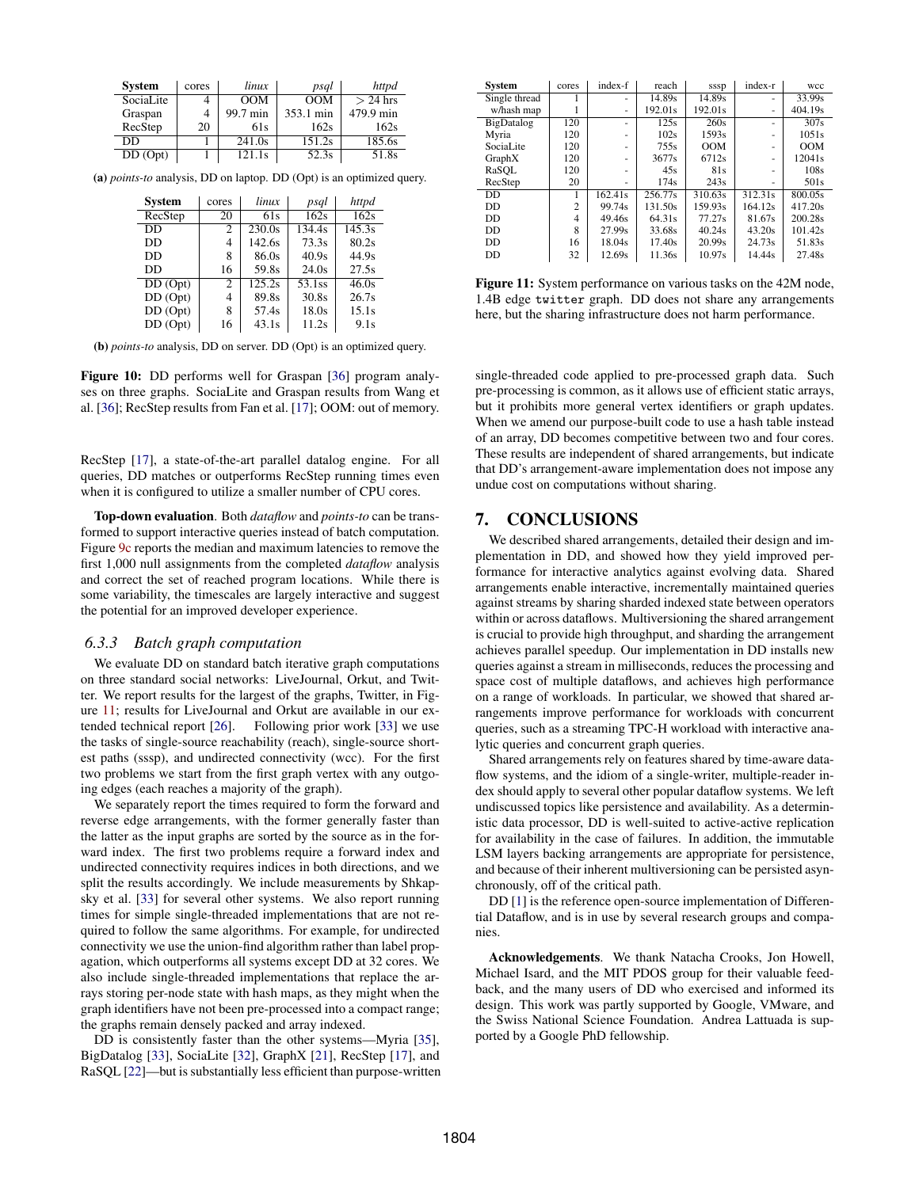<span id="page-11-0"></span>

| <b>System</b> | cores | linux    | psql            | httpd      |
|---------------|-------|----------|-----------------|------------|
| SociaLite     |       | OM       | $\overline{OM}$ | $> 24$ hrs |
| Graspan       |       | 99.7 min | 353.1 min       | 479.9 min  |
| RecStep       | 20    | 61s      | 162s            | 162s       |
| DD            |       | 241.0s   | 151.2s          | 185.6s     |
| DD (Opt)      |       | 121.1s   | 52.3s           | 51.8s      |

(a) *points-to* analysis, DD on laptop. DD (Opt) is an optimized query.

| <b>System</b>        | cores | linux  | psql              | httpd             |
|----------------------|-------|--------|-------------------|-------------------|
| RecStep              | 20    | 61s    | $\overline{162s}$ | $\overline{162s}$ |
| DD                   | 2     | 230.0s | 134.4s            | 145.3s            |
| DD                   | 4     | 142.6s | 73.3s             | 80.2s             |
| DD                   | 8     | 86.0s  | 40.9s             | 44.9s             |
| DD                   | 16    | 59.8s  | 24.0s             | 27.5s             |
| $\overline{DD(Opt)}$ | 2     | 125.2s | 53.1ss            | 46.0s             |
| DD (Opt)             | 4     | 89.8s  | 30.8s             | 26.7s             |
| DD (Opt)             | 8     | 57.4s  | 18.0s             | 15.1s             |
| DD (Opt)             | 16    | 43.1s  | 11.2s             | 9.1s              |

(b) *points-to* analysis, DD on server. DD (Opt) is an optimized query.

Figure 10: DD performs well for Graspan [\[36\]](#page-13-7) program analyses on three graphs. SociaLite and Graspan results from Wang et al. [\[36\]](#page-13-7); RecStep results from Fan et al. [\[17\]](#page-12-29); OOM: out of memory.

RecStep [\[17\]](#page-12-29), a state-of-the-art parallel datalog engine. For all queries, DD matches or outperforms RecStep running times even when it is configured to utilize a smaller number of CPU cores.

Top-down evaluation. Both *dataflow* and *points-to* can be transformed to support interactive queries instead of batch computation. Figure [9c](#page-10-2) reports the median and maximum latencies to remove the first 1,000 null assignments from the completed *dataflow* analysis and correct the set of reached program locations. While there is some variability, the timescales are largely interactive and suggest the potential for an improved developer experience.

#### *6.3.3 Batch graph computation*

We evaluate DD on standard batch iterative graph computations on three standard social networks: LiveJournal, Orkut, and Twitter. We report results for the largest of the graphs, Twitter, in Figure [11;](#page-11-1) results for LiveJournal and Orkut are available in our extended technical report [\[26\]](#page-12-21). Following prior work [\[33\]](#page-13-5) we use the tasks of single-source reachability (reach), single-source shortest paths (sssp), and undirected connectivity (wcc). For the first two problems we start from the first graph vertex with any outgoing edges (each reaches a majority of the graph).

We separately report the times required to form the forward and reverse edge arrangements, with the former generally faster than the latter as the input graphs are sorted by the source as in the forward index. The first two problems require a forward index and undirected connectivity requires indices in both directions, and we split the results accordingly. We include measurements by Shkapsky et al. [\[33\]](#page-13-5) for several other systems. We also report running times for simple single-threaded implementations that are not required to follow the same algorithms. For example, for undirected connectivity we use the union-find algorithm rather than label propagation, which outperforms all systems except DD at 32 cores. We also include single-threaded implementations that replace the arrays storing per-node state with hash maps, as they might when the graph identifiers have not been pre-processed into a compact range; the graphs remain densely packed and array indexed.

DD is consistently faster than the other systems—Myria [\[35\]](#page-13-4), BigDatalog [\[33\]](#page-13-5), SociaLite [\[32\]](#page-12-27), GraphX [\[21\]](#page-12-30), RecStep [\[17\]](#page-12-29), and RaSQL [\[22\]](#page-12-31)—but is substantially less efficient than purpose-written

<span id="page-11-1"></span>

| System            | cores          | index-f | reach   | sssp    | index-r | wcc                |
|-------------------|----------------|---------|---------|---------|---------|--------------------|
| Single thread     |                | ٠       | 14.89s  | 14.89s  | ٠       | 33.99s             |
| w/hash map        |                | ۰       | 192.01s | 192.01s | ٠       | 404.19s            |
| BigDatalog        | 120            | -       | 125s    | 260s    | ۰       | 307s               |
| Myria             | 120            | ٠       | 102s    | 1593s   | ٠       | 1051s              |
| Social <i>ite</i> | 120            | ۰       | 755s    | OM      | -       | OM                 |
| GraphX            | 120            | -       | 3677s   | 6712s   | ۰       | 12041 <sub>s</sub> |
| RaSOL             | 120            | -       | 45s     | 81s     |         | 108s               |
| RecStep           | 20             | -       | 174s    | 243s    | ۰       | 501 <sub>s</sub>   |
| DD.               |                | 162.41s | 256.77s | 310.63s | 312.31s | 800.05s            |
| DD.               | $\mathfrak{D}$ | 99.74s  | 131.50s | 159.93s | 164.12s | 417.20s            |
| DD.               | 4              | 49.46s  | 64.31s  | 77.27s  | 81.67s  | 200.28s            |
| DD.               | 8              | 27.99s  | 33.68s  | 40.24s  | 43.20s  | 101.42s            |
| DD                | 16             | 18.04s  | 17.40s  | 20.99s  | 24.73s  | 51.83s             |
| DD                | 32             | 12.69s  | 11.36s  | 10.97s  | 14.44s  | 27.48s             |

Figure 11: System performance on various tasks on the 42M node, 1.4B edge twitter graph. DD does not share any arrangements here, but the sharing infrastructure does not harm performance.

single-threaded code applied to pre-processed graph data. Such pre-processing is common, as it allows use of efficient static arrays, but it prohibits more general vertex identifiers or graph updates. When we amend our purpose-built code to use a hash table instead of an array, DD becomes competitive between two and four cores. These results are independent of shared arrangements, but indicate that DD's arrangement-aware implementation does not impose any undue cost on computations without sharing.

# 7. CONCLUSIONS

We described shared arrangements, detailed their design and implementation in DD, and showed how they yield improved performance for interactive analytics against evolving data. Shared arrangements enable interactive, incrementally maintained queries against streams by sharing sharded indexed state between operators within or across dataflows. Multiversioning the shared arrangement is crucial to provide high throughput, and sharding the arrangement achieves parallel speedup. Our implementation in DD installs new queries against a stream in milliseconds, reduces the processing and space cost of multiple dataflows, and achieves high performance on a range of workloads. In particular, we showed that shared arrangements improve performance for workloads with concurrent queries, such as a streaming TPC-H workload with interactive analytic queries and concurrent graph queries.

Shared arrangements rely on features shared by time-aware dataflow systems, and the idiom of a single-writer, multiple-reader index should apply to several other popular dataflow systems. We left undiscussed topics like persistence and availability. As a deterministic data processor, DD is well-suited to active-active replication for availability in the case of failures. In addition, the immutable LSM layers backing arrangements are appropriate for persistence, and because of their inherent multiversioning can be persisted asynchronously, off of the critical path.

DD [\[1\]](#page-12-2) is the reference open-source implementation of Differential Dataflow, and is in use by several research groups and companies.

Acknowledgements. We thank Natacha Crooks, Jon Howell, Michael Isard, and the MIT PDOS group for their valuable feedback, and the many users of DD who exercised and informed its design. This work was partly supported by Google, VMware, and the Swiss National Science Foundation. Andrea Lattuada is supported by a Google PhD fellowship.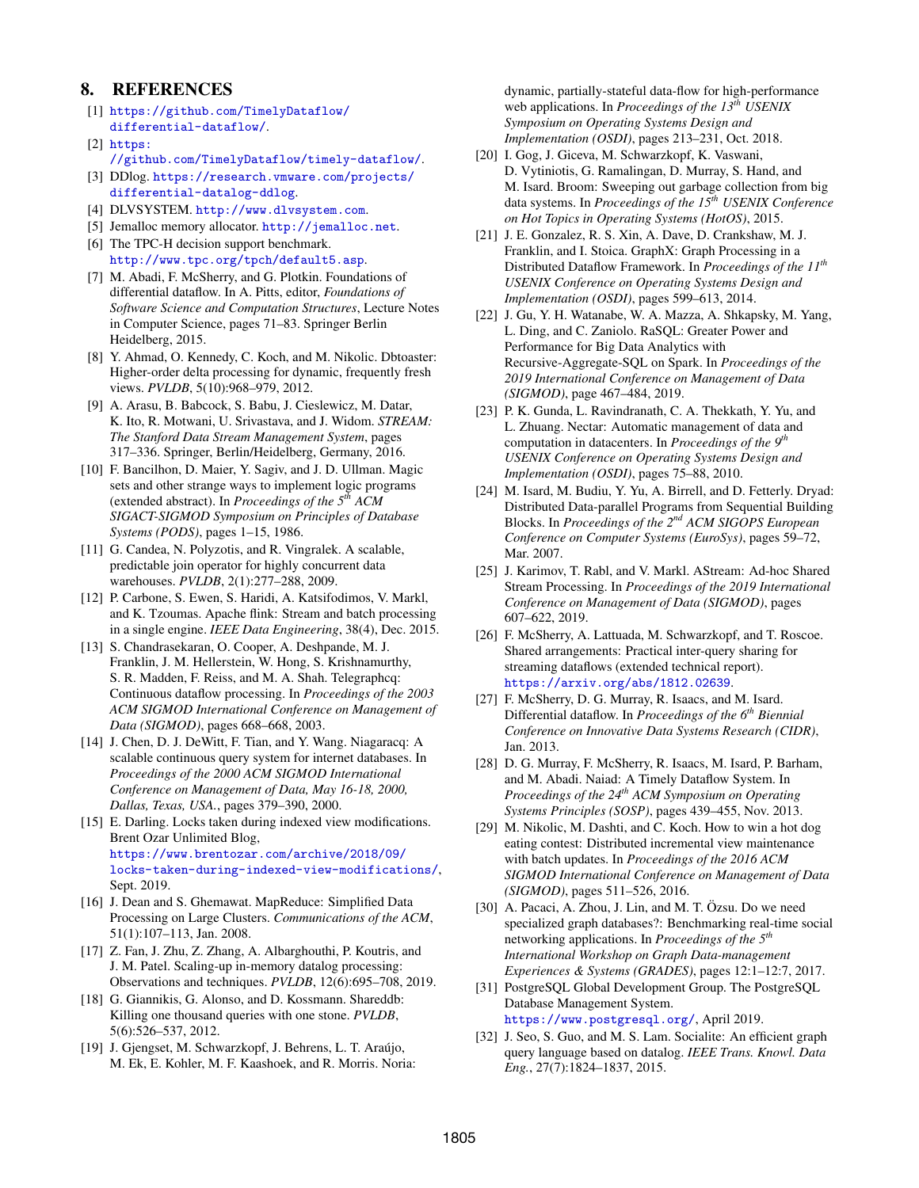## 8. REFERENCES

- <span id="page-12-2"></span>[1] [https://github.com/TimelyDataflow/](https://github.com/TimelyDataflow/differential-dataflow/) [differential-dataflow/](https://github.com/TimelyDataflow/differential-dataflow/).
- <span id="page-12-19"></span>[2] [https:](https://github.com/TimelyDataflow/timely-dataflow/)
- [//github.com/TimelyDataflow/timely-dataflow/](https://github.com/TimelyDataflow/timely-dataflow/).
- <span id="page-12-8"></span>[3] DDlog. [https://research.vmware.com/projects/](https://research.vmware.com/projects/differential-datalog-ddlog) [differential-datalog-ddlog](https://research.vmware.com/projects/differential-datalog-ddlog).
- <span id="page-12-26"></span>[4] DLVSYSTEM. <http://www.dlvsystem.com>.
- <span id="page-12-22"></span>[5] Jemalloc memory allocator. <http://jemalloc.net>.
- <span id="page-12-6"></span>[6] The TPC-H decision support benchmark. <http://www.tpc.org/tpch/default5.asp>.
- <span id="page-12-20"></span>[7] M. Abadi, F. McSherry, and G. Plotkin. Foundations of differential dataflow. In A. Pitts, editor, *Foundations of Software Science and Computation Structures*, Lecture Notes in Computer Science, pages 71–83. Springer Berlin Heidelberg, 2015.
- <span id="page-12-5"></span>[8] Y. Ahmad, O. Kennedy, C. Koch, and M. Nikolic. Dbtoaster: Higher-order delta processing for dynamic, frequently fresh views. *PVLDB*, 5(10):968–979, 2012.
- <span id="page-12-18"></span>[9] A. Arasu, B. Babcock, S. Babu, J. Cieslewicz, M. Datar, K. Ito, R. Motwani, U. Srivastava, and J. Widom. *STREAM: The Stanford Data Stream Management System*, pages 317–336. Springer, Berlin/Heidelberg, Germany, 2016.
- <span id="page-12-28"></span>[10] F. Bancilhon, D. Maier, Y. Sagiv, and J. D. Ullman. Magic sets and other strange ways to implement logic programs (extended abstract). In *Proceedings of the 5th ACM SIGACT-SIGMOD Symposium on Principles of Database Systems (PODS)*, pages 1–15, 1986.
- <span id="page-12-14"></span>[11] G. Candea, N. Polyzotis, and R. Vingralek. A scalable, predictable join operator for highly concurrent data warehouses. *PVLDB*, 2(1):277–288, 2009.
- <span id="page-12-3"></span>[12] P. Carbone, S. Ewen, S. Haridi, A. Katsifodimos, V. Markl, and K. Tzoumas. Apache flink: Stream and batch processing in a single engine. *IEEE Data Engineering*, 38(4), Dec. 2015.
- <span id="page-12-17"></span>[13] S. Chandrasekaran, O. Cooper, A. Deshpande, M. J. Franklin, J. M. Hellerstein, W. Hong, S. Krishnamurthy, S. R. Madden, F. Reiss, and M. A. Shah. Telegraphcq: Continuous dataflow processing. In *Proceedings of the 2003 ACM SIGMOD International Conference on Management of Data (SIGMOD)*, pages 668–668, 2003.
- <span id="page-12-24"></span>[14] J. Chen, D. J. DeWitt, F. Tian, and Y. Wang. Niagaracq: A scalable continuous query system for internet databases. In *Proceedings of the 2000 ACM SIGMOD International Conference on Management of Data, May 16-18, 2000, Dallas, Texas, USA.*, pages 379–390, 2000.
- <span id="page-12-10"></span>[15] E. Darling. Locks taken during indexed view modifications. Brent Ozar Unlimited Blog, [https://www.brentozar.com/archive/2018/09/](https://www.brentozar.com/archive/2018/09/locks-taken-during-indexed-view-modifications/) [locks-taken-during-indexed-view-modifications/](https://www.brentozar.com/archive/2018/09/locks-taken-during-indexed-view-modifications/), Sept. 2019.
- <span id="page-12-11"></span>[16] J. Dean and S. Ghemawat. MapReduce: Simplified Data Processing on Large Clusters. *Communications of the ACM*, 51(1):107–113, Jan. 2008.
- <span id="page-12-29"></span>[17] Z. Fan, J. Zhu, Z. Zhang, A. Albarghouthi, P. Koutris, and J. M. Patel. Scaling-up in-memory datalog processing: Observations and techniques. *PVLDB*, 12(6):695–708, 2019.
- <span id="page-12-15"></span>[18] G. Giannikis, G. Alonso, and D. Kossmann. Shareddb: Killing one thousand queries with one stone. *PVLDB*, 5(6):526–537, 2012.
- <span id="page-12-4"></span>[19] J. Gjengset, M. Schwarzkopf, J. Behrens, L. T. Araújo, M. Ek, E. Kohler, M. F. Kaashoek, and R. Morris. Noria:

dynamic, partially-stateful data-flow for high-performance web applications. In *Proceedings of the 13th USENIX Symposium on Operating Systems Design and Implementation (OSDI)*, pages 213–231, Oct. 2018.

- <span id="page-12-25"></span>[20] I. Gog, J. Giceva, M. Schwarzkopf, K. Vaswani, D. Vytiniotis, G. Ramalingan, D. Murray, S. Hand, and M. Isard. Broom: Sweeping out garbage collection from big data systems. In *Proceedings of the 15th USENIX Conference on Hot Topics in Operating Systems (HotOS)*, 2015.
- <span id="page-12-30"></span>[21] J. E. Gonzalez, R. S. Xin, A. Dave, D. Crankshaw, M. J. Franklin, and I. Stoica. GraphX: Graph Processing in a Distributed Dataflow Framework. In *Proceedings of the 11th USENIX Conference on Operating Systems Design and Implementation (OSDI)*, pages 599–613, 2014.
- <span id="page-12-31"></span>[22] J. Gu, Y. H. Watanabe, W. A. Mazza, A. Shkapsky, M. Yang, L. Ding, and C. Zaniolo. RaSQL: Greater Power and Performance for Big Data Analytics with Recursive-Aggregate-SQL on Spark. In *Proceedings of the 2019 International Conference on Management of Data (SIGMOD)*, page 467–484, 2019.
- <span id="page-12-13"></span>[23] P. K. Gunda, L. Ravindranath, C. A. Thekkath, Y. Yu, and L. Zhuang. Nectar: Automatic management of data and computation in datacenters. In *Proceedings of the 9th USENIX Conference on Operating Systems Design and Implementation (OSDI)*, pages 75–88, 2010.
- <span id="page-12-12"></span>[24] M. Isard, M. Budiu, Y. Yu, A. Birrell, and D. Fetterly. Dryad: Distributed Data-parallel Programs from Sequential Building Blocks. In *Proceedings of the 2nd ACM SIGOPS European Conference on Computer Systems (EuroSys)*, pages 59–72, Mar. 2007.
- <span id="page-12-16"></span>[25] J. Karimov, T. Rabl, and V. Markl. AStream: Ad-hoc Shared Stream Processing. In *Proceedings of the 2019 International Conference on Management of Data (SIGMOD)*, pages 607–622, 2019.
- <span id="page-12-21"></span>[26] F. McSherry, A. Lattuada, M. Schwarzkopf, and T. Roscoe. Shared arrangements: Practical inter-query sharing for streaming dataflows (extended technical report). <https://arxiv.org/abs/1812.02639>.
- <span id="page-12-1"></span>[27] F. McSherry, D. G. Murray, R. Isaacs, and M. Isard. Differential dataflow. In *Proceedings of the 6th Biennial Conference on Innovative Data Systems Research (CIDR)*, Jan. 2013.
- <span id="page-12-0"></span>[28] D. G. Murray, F. McSherry, R. Isaacs, M. Isard, P. Barham, and M. Abadi. Naiad: A Timely Dataflow System. In *Proceedings of the 24th ACM Symposium on Operating Systems Principles (SOSP)*, pages 439–455, Nov. 2013.
- <span id="page-12-7"></span>[29] M. Nikolic, M. Dashti, and C. Koch. How to win a hot dog eating contest: Distributed incremental view maintenance with batch updates. In *Proceedings of the 2016 ACM SIGMOD International Conference on Management of Data (SIGMOD)*, pages 511–526, 2016.
- <span id="page-12-23"></span>[30] A. Pacaci, A. Zhou, J. Lin, and M. T. Özsu. Do we need specialized graph databases?: Benchmarking real-time social networking applications. In *Proceedings of the 5th International Workshop on Graph Data-management Experiences & Systems (GRADES)*, pages 12:1–12:7, 2017.
- <span id="page-12-9"></span>[31] PostgreSQL Global Development Group. The PostgreSQL Database Management System. <https://www.postgresql.org/>, April 2019.
- <span id="page-12-27"></span>[32] J. Seo, S. Guo, and M. S. Lam. Socialite: An efficient graph query language based on datalog. *IEEE Trans. Knowl. Data Eng.*, 27(7):1824–1837, 2015.